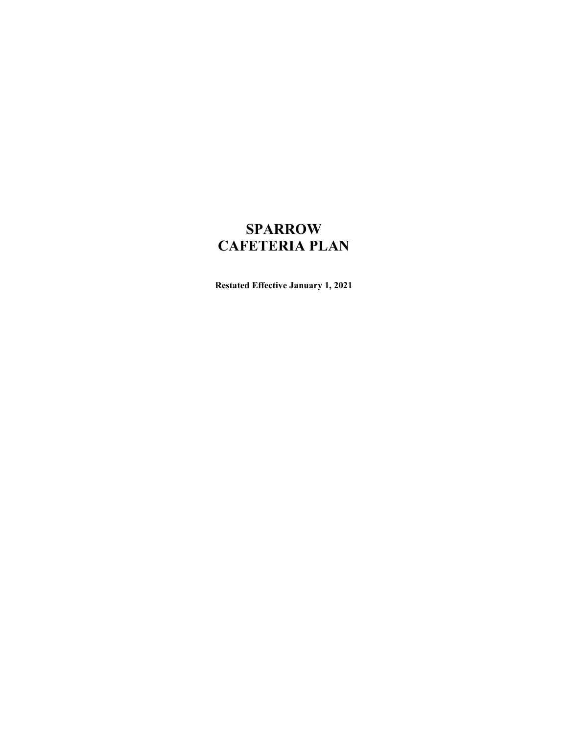# **SPARROW** CAFETERIA PLAN

Restated Effective January 1, 2021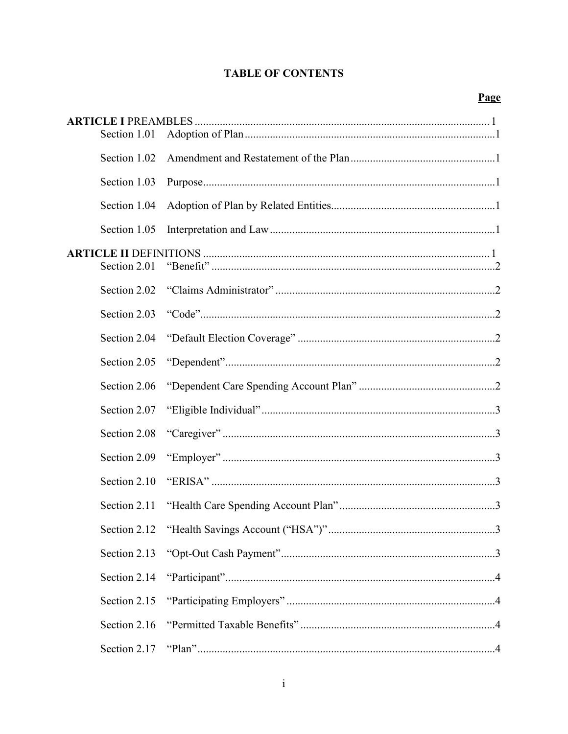# **TABLE OF CONTENTS**

| Section 1.01 |  |
|--------------|--|
| Section 1.02 |  |
| Section 1.03 |  |
| Section 1.04 |  |
| Section 1.05 |  |
|              |  |
| Section 2.01 |  |
| Section 2.02 |  |
| Section 2.03 |  |
| Section 2.04 |  |
| Section 2.05 |  |
| Section 2.06 |  |
| Section 2.07 |  |
| Section 2.08 |  |
| Section 2.09 |  |
| Section 2.10 |  |
| Section 2.11 |  |
|              |  |
| Section 2.13 |  |
| Section 2.14 |  |
| Section 2.15 |  |
| Section 2.16 |  |
| Section 2.17 |  |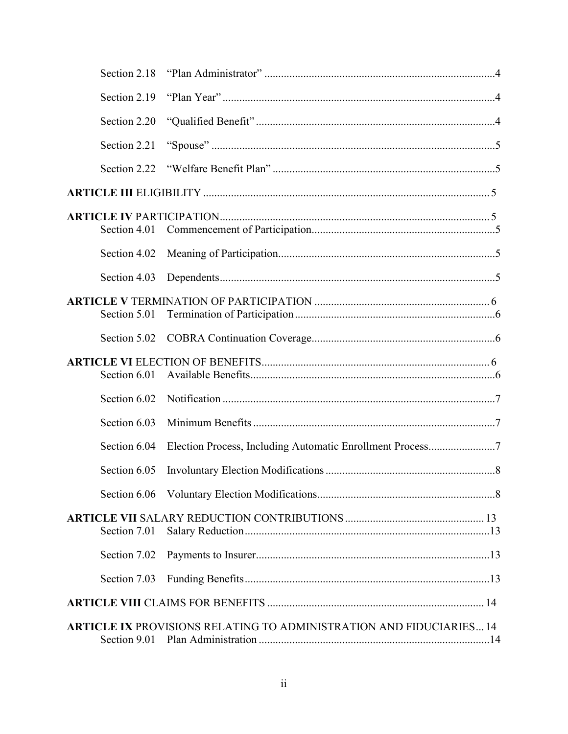| Section 2.18 |                                                                            |
|--------------|----------------------------------------------------------------------------|
| Section 2.19 |                                                                            |
| Section 2.20 |                                                                            |
| Section 2.21 |                                                                            |
| Section 2.22 |                                                                            |
|              |                                                                            |
| Section 4.01 |                                                                            |
| Section 4.02 |                                                                            |
| Section 4.03 |                                                                            |
| Section 5.01 |                                                                            |
| Section 5.02 |                                                                            |
| Section 6.01 |                                                                            |
| Section 6.02 |                                                                            |
| Section 6.03 |                                                                            |
| Section 6.04 | Election Process, Including Automatic Enrollment Process7                  |
| Section 6.05 |                                                                            |
| Section 6.06 |                                                                            |
| Section 7.01 |                                                                            |
| Section 7.02 |                                                                            |
| Section 7.03 |                                                                            |
|              |                                                                            |
|              | <b>ARTICLE IX PROVISIONS RELATING TO ADMINISTRATION AND FIDUCIARIES 14</b> |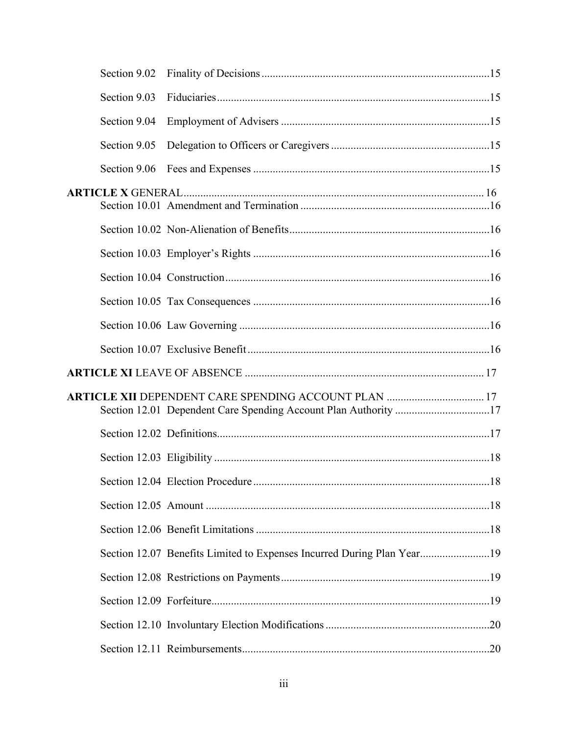| Section 9.02 |                                                                        |     |
|--------------|------------------------------------------------------------------------|-----|
| Section 9.03 |                                                                        |     |
| Section 9.04 |                                                                        |     |
| Section 9.05 |                                                                        |     |
| Section 9.06 |                                                                        |     |
|              |                                                                        |     |
|              |                                                                        |     |
|              |                                                                        |     |
|              |                                                                        |     |
|              |                                                                        |     |
|              |                                                                        |     |
|              |                                                                        |     |
|              |                                                                        |     |
|              |                                                                        |     |
|              |                                                                        |     |
|              |                                                                        |     |
|              |                                                                        | .18 |
|              |                                                                        |     |
|              |                                                                        |     |
|              | Section 12.07 Benefits Limited to Expenses Incurred During Plan Year19 |     |
|              |                                                                        |     |
|              |                                                                        |     |
|              |                                                                        |     |
|              |                                                                        |     |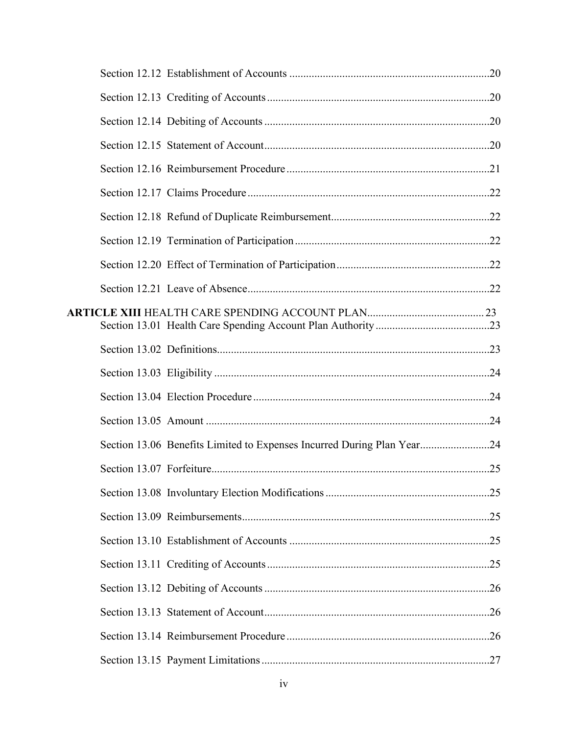| Section 13.06 Benefits Limited to Expenses Incurred During Plan Year24 |  |
|------------------------------------------------------------------------|--|
|                                                                        |  |
|                                                                        |  |
|                                                                        |  |
|                                                                        |  |
|                                                                        |  |
|                                                                        |  |
|                                                                        |  |
|                                                                        |  |
|                                                                        |  |
|                                                                        |  |
| iv                                                                     |  |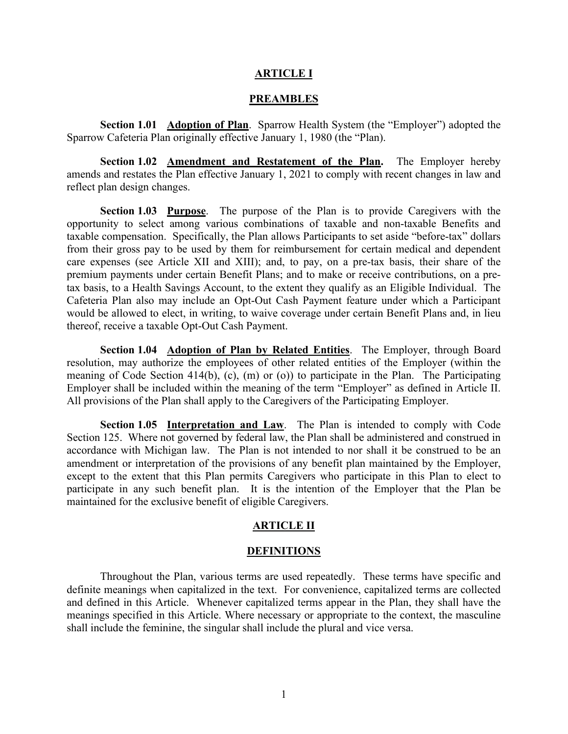#### ARTICLE I

#### PREAMBLES

Section 1.01 Adoption of Plan. Sparrow Health System (the "Employer") adopted the Sparrow Cafeteria Plan originally effective January 1, 1980 (the "Plan).

Section 1.02 **Amendment and Restatement of the Plan.** The Employer hereby amends and restates the Plan effective January 1, 2021 to comply with recent changes in law and **EREAMBLES**<br> **EREAMBLES**<br> **Sparrow Cafeteria Plan originally effective January 1, 1980 (the "Employer") adopted the<br>
Sparrow Cafeteria Plan originally effective January 1, 1980 (the "Plan).<br>
<b>Section 1.02** <u>Amendment and R</u> reflect plan design changes.

Section 1.03 Purpose. The purpose of the Plan is to provide Caregivers with the opportunity to select among various combinations of taxable and non-taxable Benefits and taxable compensation. Specifically, the Plan allows Participants to set aside "before-tax" dollars from their gross pay to be used by them for reimbursement for certain medical and dependent care expenses (see Article XII and XIII); and, to pay, on a pre-tax basis, their share of the premium payments under certain Benefit Plans; and to make or receive contributions, on a pretax basis, to a Health Savings Account, to the extent they qualify as an Eligible Individual. The Cafeteria Plan also may include an Opt-Out Cash Payment feature under which a Participant would be allowed to elect, in writing, to waive coverage under certain Benefit Plans and, in lieu thereof, receive a taxable Opt-Out Cash Payment.

Section 1.04 Adoption of Plan by Related Entities. The Employer, through Board resolution, may authorize the employees of other related entities of the Employer (within the meaning of Code Section 414(b), (c), (m) or (o)) to participate in the Plan. The Participating Employer shall be included within the meaning of the term "Employer" as defined in Article II. All provisions of the Plan shall apply to the Caregivers of the Participating Employer.

Section 1.05 Interpretation and Law. The Plan is intended to comply with Code Section 125. Where not governed by federal law, the Plan shall be administered and construed in accordance with Michigan law. The Plan is not intended to nor shall it be construed to be an amendment or interpretation of the provisions of any benefit plan maintained by the Employer, except to the extent that this Plan permits Caregivers who participate in this Plan to elect to participate in any such benefit plan. It is the intention of the Employer that the Plan be maintained for the exclusive benefit of eligible Caregivers.

#### ARTICLE II

#### **DEFINITIONS**

Throughout the Plan, various terms are used repeatedly. These terms have specific and definite meanings when capitalized in the text. For convenience, capitalized terms are collected and defined in this Article. Whenever capitalized terms appear in the Plan, they shall have the meanings specified in this Article. Where necessary or appropriate to the context, the masculine shall include the feminine, the singular shall include the plural and vice versa.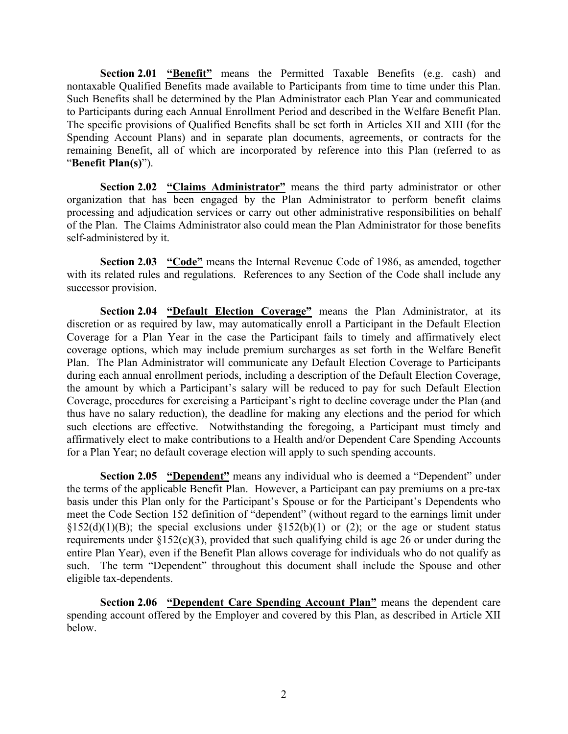Section 2.01 "Benefit" means the Permitted Taxable Benefits (e.g. cash) and nontaxable Qualified Benefits made available to Participants from time to time under this Plan. **Section 2.01 "Benefit"** means the Permitted Taxable Benefits (e.g. cash) and nontaxable Qualified Benefits made available to Participants from time to time under this Plan. Such Benefits shall be determined by the Plan Ad to Participants during each Annual Enrollment Period and described in the Welfare Benefit Plan. The specific provisions of Qualified Benefits shall be set forth in Articles XII and XIII (for the Spending Account Plans) and in separate plan documents, agreements, or contracts for the remaining Benefit, all of which are incorporated by reference into this Plan (referred to as "Benefit Plan(s)").

Section 2.02 "Claims Administrator" means the third party administrator or other organization that has been engaged by the Plan Administrator to perform benefit claims processing and adjudication services or carry out other administrative responsibilities on behalf of the Plan. The Claims Administrator also could mean the Plan Administrator for those benefits self-administered by it.

Section 2.03 "Code" means the Internal Revenue Code of 1986, as amended, together with its related rules and regulations. References to any Section of the Code shall include any successor provision.

Section 2.04 "Default Election Coverage" means the Plan Administrator, at its discretion or as required by law, may automatically enroll a Participant in the Default Election Coverage for a Plan Year in the case the Participant fails to timely and affirmatively elect coverage options, which may include premium surcharges as set forth in the Welfare Benefit Plan. The Plan Administrator will communicate any Default Election Coverage to Participants during each annual enrollment periods, including a description of the Default Election Coverage, the amount by which a Participant's salary will be reduced to pay for such Default Election Coverage, procedures for exercising a Participant's right to decline coverage under the Plan (and thus have no salary reduction), the deadline for making any elections and the period for which such elections are effective. Notwithstanding the foregoing, a Participant must timely and affirmatively elect to make contributions to a Health and/or Dependent Care Spending Accounts for a Plan Year; no default coverage election will apply to such spending accounts.

Section 2.05 "Dependent" means any individual who is deemed a "Dependent" under the terms of the applicable Benefit Plan. However, a Participant can pay premiums on a pre-tax basis under this Plan only for the Participant's Spouse or for the Participant's Dependents who meet the Code Section 152 definition of "dependent" (without regard to the earnings limit under §152(d)(1)(B); the special exclusions under §152(b)(1) or (2); or the age or student status requirements under  $\S152(c)(3)$ , provided that such qualifying child is age 26 or under during the entire Plan Year), even if the Benefit Plan allows coverage for individuals who do not qualify as such. The term "Dependent" throughout this document shall include the Spouse and other eligible tax-dependents.

Section 2.06 "Dependent Care Spending Account Plan" means the dependent care spending account offered by the Employer and covered by this Plan, as described in Article XII below.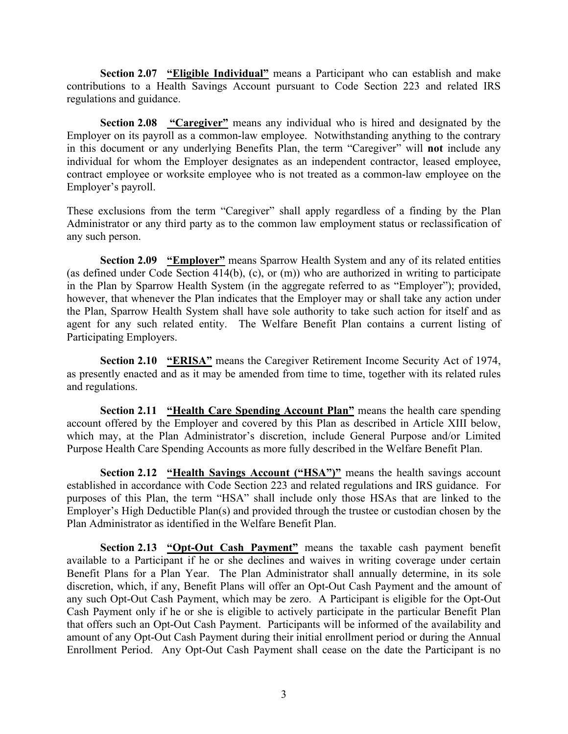Section 2.07 "Eligible Individual" means a Participant who can establish and make contributions to a Health Savings Account pursuant to Code Section 223 and related IRS regulations and guidance.

Section 2.08 "Caregiver" means any individual who is hired and designated by the Employer on its payroll as a common-law employee. Notwithstanding anything to the contrary in this document or any underlying Benefits Plan, the term "Caregiver" will not include any individual for whom the Employer designates as an independent contractor, leased employee, contract employee or worksite employee who is not treated as a common-law employee on the Employer's payroll. Section 2.07 "Eligible Individual" means a Participant who can establish and make<br>contributions to a Health Savings Account pursuant to Code Section 223 and related IRS<br>regulations and guidance.<br>Section 2.08 "Caregiver" m **Section 2.07 "Eligible Individual"** means a Participant who can establish and make<br>contributions to a Health Savings Account pursuant to Code Section 223 and related IRS<br>regulations and guidance.<br>**Employer on its payro** Section 2.07 "**Eligible Individual**" means a Participant who can establish and make<br>tions to a Health Savings Account pursuant to Code Section 223 and related IRS<br>
Section 2.08 "Caregiver" means any individual who is hire

any such person.

(as defined under Code Section 414(b), (c), or (m)) who are authorized in writing to participate in the Plan by Sparrow Health System (in the aggregate referred to as "Employer"); provided, however, that whenever the Plan indicates that the Employer may or shall take any action under the Plan, Sparrow Health System shall have sole authority to take such action for itself and as agent for any such related entity. The Welfare Benefit Plan contains a current listing of Participating Employers. Section 2.10 "**ERISA"** means any individual who is hired and designated by the Caregiver?<br>Section 2.08 "Caregiver" means any individual who is hired and designated by the<br>document or any underlying Benefits Plan, the term These exclusions from the term "Caregiver" shall apply regardless of a finding by the Plan<br>Administrator or any third party as to the common law employment status or reclassification of<br>any such person.<br>Section 2.09 "Empl

as presently enacted and as it may be amended from time to time, together with its related rules and regulations.

Section 2.11 "Health Care Spending Account Plan" means the health care spending account offered by the Employer and covered by this Plan as described in Article XIII below, which may, at the Plan Administrator's discretion, include General Purpose and/or Limited Purpose Health Care Spending Accounts as more fully described in the Welfare Benefit Plan.

Section 2.12 "Health Savings Account ("HSA")" means the health savings account established in accordance with Code Section 223 and related regulations and IRS guidance. For purposes of this Plan, the term "HSA" shall include only those HSAs that are linked to the Employer's High Deductible Plan(s) and provided through the trustee or custodian chosen by the in the Plan by Sparrow Health System (in the aggregate referred to as "Employer");<br>however, that whencever the Plan indicates that the Employer may or shall take any act<br>the Plan, Sparrow Health System shall have sole auth

Section 2.13 "Opt-Out Cash Payment" means the taxable cash payment benefit available to a Participant if he or she declines and waives in writing coverage under certain Participating Employers.<br>
Section 2.10 "ERISA" means the Caregiver Retirement Income Security Act of 1974,<br>
as presently enacted and as it may be amended from time to time, together with its related rules<br>
and regulations. discretion, which, if any, Benefit Plans will offer an Opt-Out Cash Payment and the amount of any such Opt-Out Cash Payment, which may be zero. A Participant is eligible for the Opt-Out Cash Payment only if he or she is eligible to actively participate in the particular Benefit Plan that offers such an Opt-Out Cash Payment. Participants will be informed of the availability and amount of any Opt-Out Cash Payment during their initial enrollment period or during the Annual Enrollment Period. Any Opt-Out Cash Payment shall cease on the date the Participant is no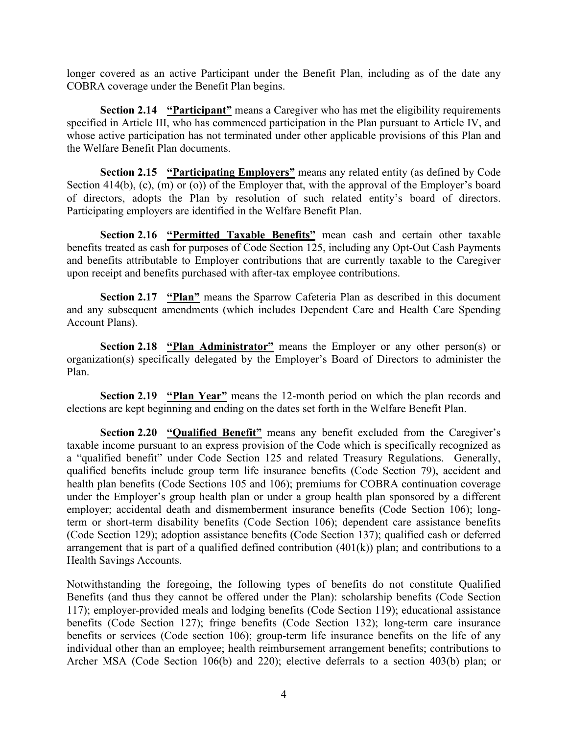longer covered as an active Participant under the Benefit Plan, including as of the date any COBRA coverage under the Benefit Plan begins.

covered as an active Participant under the Benefit Plan, including as of the date any<br>A coverage under the Benefit Plan begins.<br>Section 2.14 "Participant" means a Caregiver who has met the eligibility requirements<br>d in Art specified in Article III, who has commenced participation in the Plan pursuant to Article IV, and longer covered as an active Participant under the Benefit Plan, including as of the date any<br>COBRA coverage under the Benefit Plan begins.<br>Section 2.14 "Participant" means a Caregiver who has met the eligibility requireme the Welfare Benefit Plan documents. longer covered as an active Participant under the Benefit Plan, including as of the date any COBRA coverage under the Benefit Plan begins.<br>
Section 2.14 "Participant" means a Caregiver who has met the eligibility requirem

Section 2.15 "Participating Employers" means any related entity (as defined by Code of directors, adopts the Plan by resolution of such related entity's board of directors. Participating employers are identified in the Welfare Benefit Plan.

Section 2.16 "Permitted Taxable Benefits" mean cash and certain other taxable benefits treated as cash for purposes of Code Section 125, including any Opt-Out Cash Payments and benefits attributable to Employer contributions that are currently taxable to the Caregiver upon receipt and benefits purchased with after-tax employee contributions. covered as an active Participant under the Benefit Plan, including as of the date any<br>A coverage under the Benefit Plan begins.<br>Section 2.14 "Participant" means a Caregiver who has met the eligibility requirements<br>din Arti Section 2.14 "**Planting means** at Caregiver who has met the eligibility requirements<br>
d in Article III, who has commenced participation in the Plan pursuant to Article IV, and<br>
active participation has not terminated under

and any subsequent amendments (which includes Dependent Care and Health Care Spending Account Plans).

organization(s) specifically delegated by the Employer's Board of Directors to administer the Plan.

Section 2.19 "Plan Year" means the 12-month period on which the plan records and elections are kept beginning and ending on the dates set forth in the Welfare Benefit Plan.

Section 2.20 "Qualified Benefit" means any benefit excluded from the Caregiver's taxable income pursuant to an express provision of the Code which is specifically recognized as a "qualified benefit" under Code Section 125 and related Treasury Regulations. Generally, qualified benefits include group term life insurance benefits (Code Section 79), accident and benefits treated as can for purposes of Code Section 125, including any opt-Out Cash Payments<br>and benefits attributable to Employer contributions that are currently taxable to the Caregiver<br>upon receipt and benefits purcha under the Employer's group health plan or under a group health plan sponsored by a different employer; accidental death and dismemberment insurance benefits (Code Section 106); longterm or short-term disability benefits (Code Section 106); dependent care assistance benefits (Code Section 129); adoption assistance benefits (Code Section 137); qualified cash or deferred arrangement that is part of a qualified defined contribution (401(k)) plan; and contributions to a Health Savings Accounts.

Notwithstanding the foregoing, the following types of benefits do not constitute Qualified Benefits (and thus they cannot be offered under the Plan): scholarship benefits (Code Section 117); employer-provided meals and lodging benefits (Code Section 119); educational assistance benefits (Code Section 127); fringe benefits (Code Section 132); long-term care insurance benefits or services (Code section 106); group-term life insurance benefits on the life of any individual other than an employee; health reimbursement arrangement benefits; contributions to Archer MSA (Code Section 106(b) and 220); elective deferrals to a section 403(b) plan; or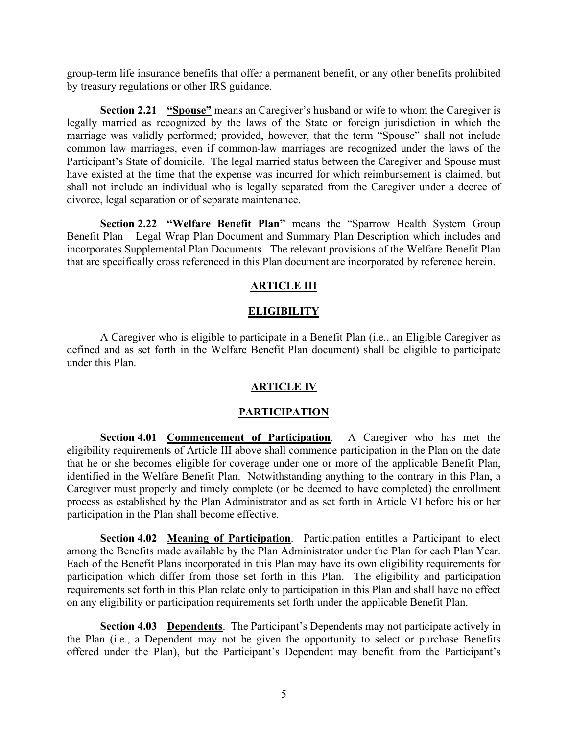group-term life insurance benefits that offer a permanent benefit, or any other benefits prohibited by treasury regulations or other IRS guidance.

erm life insurance benefits that offer a permanent benefit, or any other benefits prohibited<br>sury regulations or other IRS guidance.<br>Section 2.21 "Spouse" means an Caregiver's husband or wife to whom the Caregiver is<br>marri legally married as recognized by the laws of the State or foreign jurisdiction in which the group-term life insurance benefits that offer a permanent benefit, or any other benefits prohibited<br>by treasury regulations or other IRS guidance.<br>**Section 2.21** "Spouse" means an Caregiver's husband or wife to whom the Ca common law marriages, even if common-law marriages are recognized under the laws of the Participant's State of domicile. The legal married status between the Caregiver and Spouse must have existed at the time that the expense was incurred for which reimbursement is claimed, but shall not include an individual who is legally separated from the Caregiver under a decree of divorce, legal separation or of separate maintenance. group-term life insurance benefits that offer a permanent benefit, or any other benefits prohibited<br>by treasury regulations or other IRS guidance.<br>
Section 2.21 "Spouse" means an Caregiver's husband or wife to whom the Car

Section 2.22 "Welfare Benefit Plan" means the "Sparrow Health System Group<br>Benefit Plan – Legal Wrap Plan Document and Summary Plan Description which includes and incorporates Supplemental Plan Documents. The relevant provisions of the Welfare Benefit Plan that are specifically cross referenced in this Plan document are incorporated by reference herein.

#### **ARTICLE III**

#### **ELIGIBILITY**

A Caregiver who is eligible to participate in a Benefit Plan (i.e., an Eligible Caregiver as defined and as set forth in the Welfare Benefit Plan document) shall be eligible to participate under this Plan.

### ARTICLE IV

#### **PARTICIPATION**

(and separation or of separate mantenance.<br>
Section 2.22 "Welfare Benefit Plan" means the "Sparrow Health System Group<br>
Plan Description which includes and<br>
Plan Description Plan Documents and Summary Plan Description whi eligibility requirements of Article III above shall commence participation in the Plan on the date that he or she becomes eligible for coverage under one or more of the applicable Benefit Plan, Enerti Plan. Tegal wrap Pian Document and Summary Plan. Planether than the incorporates Supplemental Plan Documents. The relevant provisions of the Welfare Benefit Plan.<br>
that are specifically cross referenced in this Pla The must proper must proper must complement than the enterpretent properties. The relievant provisions of the welfare Benefit Pan<br>
ARTICLE III<br>  $ELLGIBHLITY$ <br>
A Caregiver who is eligible to participate in a Benefit Plan (i.e. process as established by the Plan Administrator and as set forth in Article VI before his or her participation in the Plan shall become effective. **ELEGENDEE AVAILABLE AVAILABLE AVAILABLE AVAILABLE AVAILABLE AVAILABLE ARE DESCRIBE A DESCRIBE A CARGIVER DRIVER SPINITE AND ADMINISTED MANUTE AND MONORATION Section 4.01 Commencement of Participation. A Carcegiver who ha** 

Section 4.02 Meaning of Participation. Participation entitles a Participant to elect Each of the Benefit Plans incorporated in this Plan may have its own eligibility requirements for participation which differ from those set forth in this Plan. The eligibility and participation requirements set forth in this Plan relate only to participation in this Plan and shall have no effect on any eligibility or participation requirements set forth under the applicable Benefit Plan.

Section 4.03 Dependents. The Participant's Dependents may not participate actively in the Plan (i.e., a Dependent may not be given the opportunity to select or purchase Benefits offered under the Plan), but the Participant's Dependent may benefit from the Participant's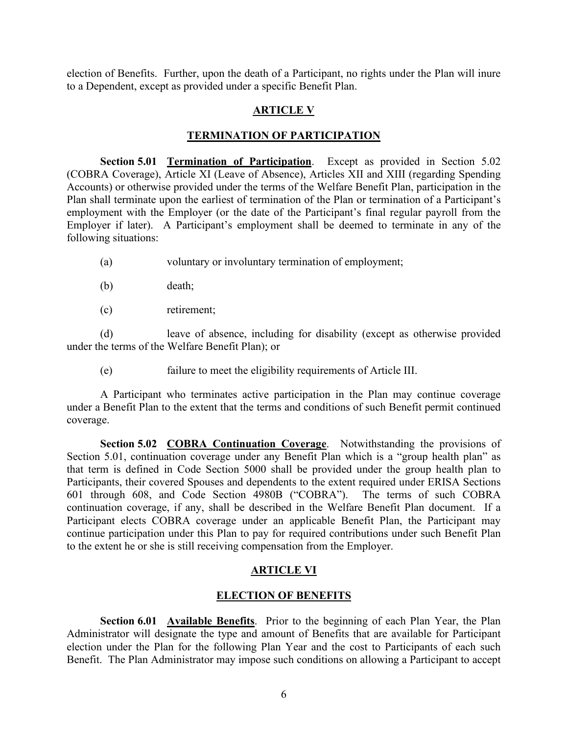election of Benefits. Further, upon the death of a Participant, no rights under the Plan will inure<br>to a Dependent, except as provided under a specific Benefit Plan.<br>ARTICLE V<br>TERMINATION OF PARTICIPATION to a Dependent, except as provided under a specific Benefit Plan.

# **ARTICLE V**

#### TERMINATION OF PARTICIPATION

Section 5.01 Termination of Participation. Except as provided in Section 5.02 (COBRA Coverage), Article XI (Leave of Absence), Articles XII and XIII (regarding Spending election of Benefits. Further, upon the death of a Participant, no rights under the Plan will inure<br>
to a Dependent, except as provided under a specific Benefit Plan.<br> **ARTICLE V**<br> **COBRA Coverage), Article XI (Leave of Ab** Accounts) or otherwise provided under the terms of the Welfare Benefit Plan, participation in the Example 19 and the Funder of the Plan shall termination of Benedict, and the Plan or termination of Participation.<br> **ARTICLE V**<br> **PERMINATION OF PARTICIPATION**<br> **PARTICIPATION**<br> **PERMINATION OF PARTICIPATION**<br> **PARTICIPAT** employment with the Employer (or the date of the Participant's final regular payroll from the Employer if later). A Participant's employment shall be deemed to terminate in any of the following situations:

- (a) voluntary or involuntary termination of employment;
- (b) death;
- (c) retirement;

(d) leave of absence, including for disability (except as otherwise provided under the terms of the Welfare Benefit Plan); or

(e) failure to meet the eligibility requirements of Article III.

A Participant who terminates active participation in the Plan may continue coverage under a Benefit Plan to the extent that the terms and conditions of such Benefit permit continued coverage.

Section 5.02 COBRA Continuation Coverage. Notwithstanding the provisions of Section 5.01, continuation coverage under any Benefit Plan which is a "group health plan" as that term is defined in Code Section 5000 shall be provided under the group health plan to Participants, their covered Spouses and dependents to the extent required under ERISA Sections 601 through 608, and Code Section 4980B ("COBRA"). The terms of such COBRA continuation coverage, if any, shall be described in the Welfare Benefit Plan document. If a Participant elects COBRA coverage under an applicable Benefit Plan, the Participant may continue participation under this Plan to pay for required contributions under such Benefit Plan to the extent he or she is still receiving compensation from the Employer. A rancepant who certainters active participantom in the rain may commute coverage<br>
and among the type and among the terms and conditions of such Benefit permit continued<br>
coverage.<br>
Section 5.02 COBRA Continuation Coverag

# ARTICLE VI

### ELECTION OF BENEFITS

Section 6.01 Available Benefits. Prior to the beginning of each Plan Year, the Plan Administrator will designate the type and amount of Benefits that are available for Participant election under the Plan for the following Plan Year and the cost to Participants of each such Benefit. The Plan Administrator may impose such conditions on allowing a Participant to accept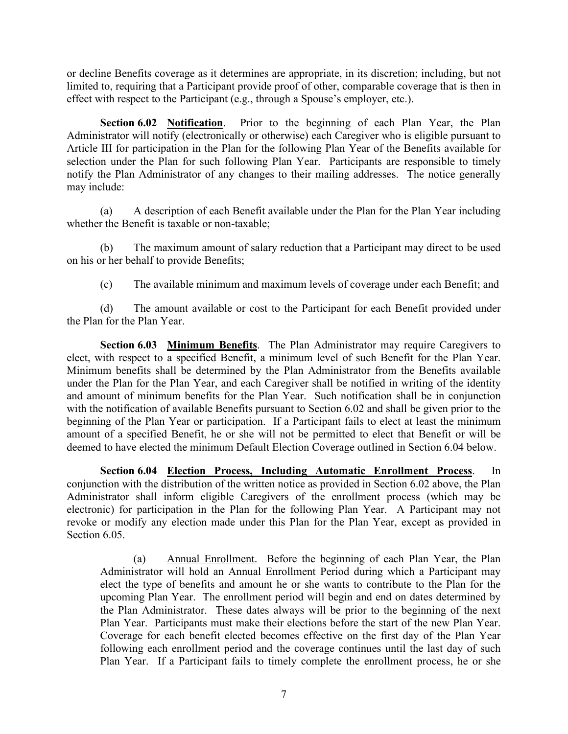or decline Benefits coverage as it determines are appropriate, in its discretion; including, but not limited to, requiring that a Participant provide proof of other, comparable coverage that is then in effect with respect to the Participant (e.g., through a Spouse's employer, etc.).

Section 6.02 Notification. Prior to the beginning of each Plan Year, the Plan Administrator will notify (electronically or otherwise) each Caregiver who is eligible pursuant to Article III for participation in the Plan for the following Plan Year of the Benefits available for selection under the Plan for such following Plan Year. Participants are responsible to timely notify the Plan Administrator of any changes to their mailing addresses. The notice generally may include: ne Benefits coverage as it determines are appropriate, in its discretion; including, but not<br>to, requiring that a Participant provide proof of other, comparable coverage that is then in<br>tith respect to the Participant (e.g

(a) A description of each Benefit available under the Plan for the Plan Year including whether the Benefit is taxable or non-taxable;

(b) The maximum amount of salary reduction that a Participant may direct to be used on his or her behalf to provide Benefits;

(c) The available minimum and maximum levels of coverage under each Benefit; and

the Plan for the Plan Year.

Section 6.03 Minimum Benefits. The Plan Administrator may require Caregivers to elect, with respect to a specified Benefit, a minimum level of such Benefit for the Plan Year. Minimum benefits shall be determined by the Plan Administrator from the Benefits available under the Plan for the Plan Year, and each Caregiver shall be notified in writing of the identity and amount of minimum benefits for the Plan Year. Such notification shall be in conjunction with the notification of available Benefits pursuant to Section 6.02 and shall be given prior to the beginning of the Plan Year or participation. If a Participant fails to elect at least the minimum (a) A description of each Benefit available under the Plan for the Plan Year including<br>whether the Benefit is taxable or non-taxable;<br>
(b) The maximum amount of salary reduction that a Participant may direct to be used<br>
o deemed to have elected the minimum Default Election Coverage outlined in Section 6.04 below. Plan Year.<br>
(a.03 **Minimum Benefits**. The Plan Administrator may require Caregivers to<br>
cost to a specified Benefit, a minimum level of such Benefit for the Plan Year.<br>
Effits shall be determined by the Plan Administrator **Section 6.03 <u>Minimum Benefits</u>**. The Plan Administrator may require Caregivers to the Blan Year. The beam Steam Hold decremined by the Plan Year, and each Caregiver shall be notified in writing of the identity more peri

Section 6.04 Election Process, Including Automatic Enrollment Process. In conjunction with the distribution of the written notice as provided in Section 6.02 above, the Plan Administrator shall inform eligible Caregivers of the enrollment process (which may be electronic) for participation in the Plan for the following Plan Year. A Participant may not revoke or modify any election made under this Plan for the Plan Year, except as provided in Section 6.05.

elect the type of benefits and amount he or she wants to contribute to the Plan for the upcoming Plan Year. The enrollment period will begin and end on dates determined by the Plan Administrator. These dates always will be prior to the beginning of the next Plan Year. Participants must make their elections before the start of the new Plan Year. Coverage for each benefit elected becomes effective on the first day of the Plan Year following each enrollment period and the coverage continues until the last day of such Plan Year. If a Participant fails to timely complete the enrollment process, he or she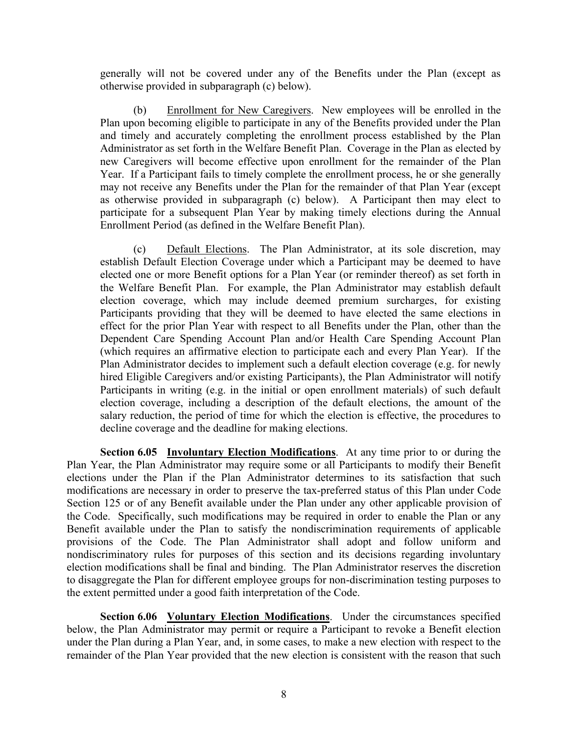generally will not be covered under any of the Benefits under the Plan (except as otherwise provided in subparagraph (c) below).

(b) If will not be covered under any of the Benefits under the Plan (except as<br>se provided in subparagraph (c) below).<br>(b) Enrollment for New Caregivers. New employees will be enrolled in the<br>on becoming eligible to partic Plan upon becoming eligible to participate in any of the Benefits provided under the Plan and timely and accurately completing the enrollment process established by the Plan Administrator as set forth in the Welfare Benefit Plan. Coverage in the Plan as elected by new Caregivers will become effective upon enrollment for the remainder of the Plan Year. If a Participant fails to timely complete the enrollment process, he or she generally may not receive any Benefits under the Plan for the remainder of that Plan Year (except as otherwise provided in subparagraph (c) below). A Participant then may elect to participate for a subsequent Plan Year by making timely elections during the Annual generally will not be covered under any of the Benefits under the Plan (except<br>otherwise provided in subparagraph (c) below).<br>(b) Enrollment for New Caregivers. New employees will be enrolled in<br>Plan upon becoming eligible (c) sty will not be covered under any of the Benefits under the Plan (except as se provided in subparagraph (c) below).<br>
(b) <u>Enrollment for New Carcegivers</u>. New employees will be cnrolled in the plan obecoming eligible t generally will not be covered under any of the Benefits under the Plan (except as otherwise provided in subparagraph (c) below).<br>
(b) Enrollment for New Carcgivers. New employees will be enrolled in the Plan upon becoming

establish Default Election Coverage under which a Participant may be deemed to have the Welfare Benefit Plan. For example, the Plan Administrator may establish default election coverage, which may include deemed premium surcharges, for existing Participants providing that they will be deemed to have elected the same elections in effect for the prior Plan Year with respect to all Benefits under the Plan, other than the Dependent Care Spending Account Plan and/or Health Care Spending Account Plan (which requires an affirmative election to participate each and every Plan Year). If the Plan Administrator decides to implement such a default election coverage (e.g. for newly hired Eligible Caregivers and/or existing Participants), the Plan Administrator will notify Participants in writing (e.g. in the initial or open enrollment materials) of such default election coverage, including a description of the default elections, the amount of the salary reduction, the period of time for which the election is effective, the procedures to decline coverage and the deadline for making elections.

Section 6.05 Involuntary Election Modifications. At any time prior to or during the Plan Year, the Plan Administrator may require some or all Participants to modify their Benefit elections under the Plan if the Plan Administrator determines to its satisfaction that such modifications are necessary in order to preserve the tax-preferred status of this Plan under Code Section 125 or of any Benefit available under the Plan under any other applicable provision of the Code. Specifically, such modifications may be required in order to enable the Plan or any Benefit available under the Plan to satisfy the nondiscrimination requirements of applicable provisions of the Code. The Plan Administrator shall adopt and follow uniform and nondiscriminatory rules for purposes of this section and its decisions regarding involuntary election modifications shall be final and binding. The Plan Administrator reserves the discretion to disaggregate the Plan for different employee groups for non-discrimination testing purposes to the extent permitted under a good faith interpretation of the Code. rartiopants in wring (e.g. in the mutual or open chromient materials) or such density reduction, every and the salary reduction, the period of time for which the election is effective, the procedures to decline coverage a

Section 6.06 Voluntary Election Modifications. Under the circumstances specified under the Plan during a Plan Year, and, in some cases, to make a new election with respect to the remainder of the Plan Year provided that the new election is consistent with the reason that such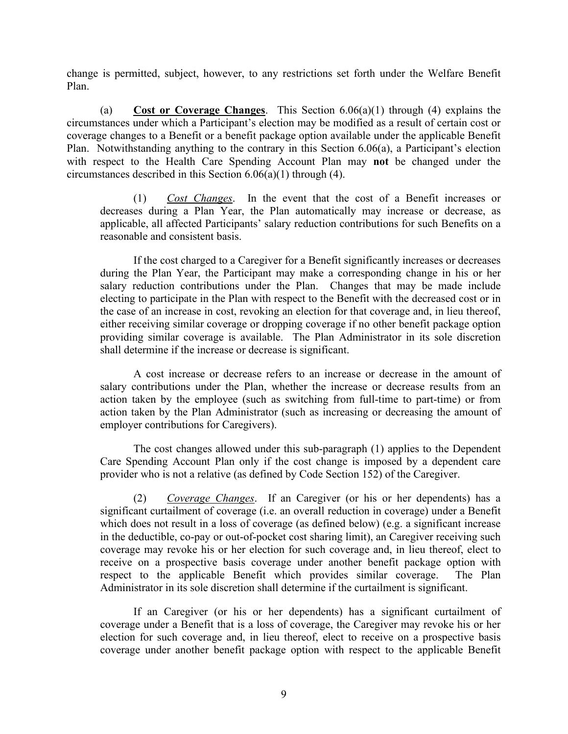change is permitted, subject, however, to any restrictions set forth under the Welfare Benefit Plan.

(a) Cost or Coverage Changes. This Section  $6.06(a)(1)$  through (4) explains the circumstances under which a Participant's election may be modified as a result of certain cost or coverage changes to a Benefit or a benefit package option available under the applicable Benefit Plan. Notwithstanding anything to the contrary in this Section 6.06(a), a Participant's election with respect to the Health Care Spending Account Plan may not be changed under the circumstances described in this Section 6.06(a)(1) through (4).

(1) Cost Changes. In the event that the cost of a Benefit increases or decreases during a Plan Year, the Plan automatically may increase or decrease, as applicable, all affected Participants' salary reduction contributions for such Benefits on a reasonable and consistent basis.

 If the cost charged to a Caregiver for a Benefit significantly increases or decreases during the Plan Year, the Participant may make a corresponding change in his or her salary reduction contributions under the Plan. Changes that may be made include electing to participate in the Plan with respect to the Benefit with the decreased cost or in is permitted, subject, however, to any restrictions set forth under the Welfare Benefit (a)  $\frac{Cost~or~Coverer_{\text{APC}}}{\text{Canner_{\text{SPC}}}}$ . This Section 6.06(a)(1) through (4) explains the stances under which a Participant's election the case of an increase in cost, revoking an election for that coverage and, in lieu thereof, either receiving similar coverage or dropping coverage if no other benefit package option providing similar coverage is available. The Plan Administrator in its sole discretion shall determine if the increase or decrease is significant.

 A cost increase or decrease refers to an increase or decrease in the amount of salary contributions under the Plan, whether the increase or decrease results from an action taken by the employee (such as switching from full-time to part-time) or from action taken by the Plan Administrator (such as increasing or decreasing the amount of employer contributions for Caregivers).

 The cost changes allowed under this sub-paragraph (1) applies to the Dependent Care Spending Account Plan only if the cost change is imposed by a dependent care provider who is not a relative (as defined by Code Section 152) of the Caregiver.

(2) Coverage Changes. If an Caregiver (or his or her dependents) has a significant curtailment of coverage (i.e. an overall reduction in coverage) under a Benefit which does not result in a loss of coverage (as defined below) (e.g. a significant increase in the deductible, co-pay or out-of-pocket cost sharing limit), an Caregiver receiving such coverage may revoke his or her election for such coverage and, in lieu thereof, elect to receive on a prospective basis coverage under another benefit package option with providing similar coverage is a walable. The Plan Administrator in its sole discretion<br>
A cost increase or decrease ris significant.<br>
A cost increase or decrease refis to an increase or decrease in the amount of<br>
salary co Administrator in its sole discretion shall determine if the curtailment is significant. A cost increase or decrease relatio to an increase or decrease in the amound of<br>salary contributions under the Plan, whether the increase or decrease results from an<br>action taken by the employee (such as switching from ful

coverage under a Benefit that is a loss of coverage, the Caregiver may revoke his or her election for such coverage and, in lieu thereof, elect to receive on a prospective basis coverage under another benefit package option with respect to the applicable Benefit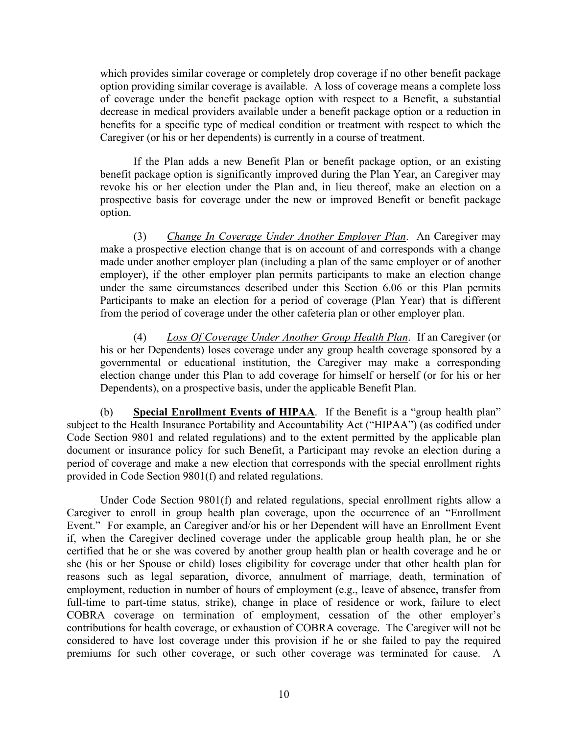which provides similar coverage or completely drop coverage if no other benefit package option providing similar coverage is available. A loss of coverage means a complete loss of coverage under the benefit package option with respect to a Benefit, a substantial decrease in medical providers available under a benefit package option or a reduction in benefits for a specific type of medical condition or treatment with respect to which the which provides similar coverage or completely drop coverage if no other benefit package<br>option providing similar coverage is available. A loss of coverage means a complete loss<br>of coverage under the benefit package option browides similar coverage or completely drop coverage if no other benefit package<br>providing similar coverage is available. A loss of coverage means a complete loss<br>rage under the benefit package option with respect to a B

 If the Plan adds a new Benefit Plan or benefit package option, or an existing benefit package option is significantly improved during the Plan Year, an Caregiver may revoke his or her election under the Plan and, in lieu thereof, make an election on a prospective basis for coverage under the new or improved Benefit or benefit package option.

which provides similar coverage or completely drop coverage if no other benefit package<br>option providing similar coverage is available. A loss of coverage means a complete loss<br>of coverage under the benefit package option made under another employer plan (including a plan of the same employer or of another employer), if the other employer plan permits participants to make an election change under the same circumstances described under this Section 6.06 or this Plan permits Participants to make an election for a period of coverage (Plan Year) that is different from the period of coverage under the other cafeteria plan or other employer plan. benefits for a specific type of medical condition or treatment with respect to which the<br>Carcy of this or her dependents) is currently in a course of treatment.<br>
If the Plan adds a new Benefit Plan or benefit package opti

(4) Loss Of Coverage Under Another Group Health Plan. If an Caregiver (or his or her Dependents) loses coverage under any group health coverage sponsored by a election change under this Plan to add coverage for himself or herself (or for his or her Dependents), on a prospective basis, under the applicable Benefit Plan.

(b) Special Enrollment Events of HIPAA. If the Benefit is a "group health plan" subject to the Health Insurance Portability and Accountability Act ("HIPAA") (as codified under Code Section 9801 and related regulations) and to the extent permitted by the applicable plan document or insurance policy for such Benefit, a Participant may revoke an election during a period of coverage and make a new election that corresponds with the special enrollment rights provided in Code Section 9801(f) and related regulations.

Under Code Section 9801(f) and related regulations, special enrollment rights allow a employer), it to enter employer plan permits particularity to make an election change and entero and the metric plan converge. (Plan Year) that is different from the period of coverage under the other cafeteria plan or ot under the same crucular<br>state point of the system of the orient of the SP and permit Participants to make an election for a period of coverage (Plan Year) that is different<br>from the period of coverage Under Another Group Participants to make an election for a period of ocverage (Plan Year) that is different<br>from the period of overage under the other cafeteria plan or other employer plan.<br>(4) Loss Of Coverage Under Another Group Health Pla certified that he or she was covered by another group health plan or health coverage and he or (4) *Loss Of Coverage Under Another Group Health Plan*. If an Carcgiver (or<br>his or her Dependents) loses coverage under any group health coverage sponsored by a<br>governmental or eleatational institution, the Caregiver may reasons such as legal separation, divorce, annulment of marriage, death, termination of ms or ner lopenonests losses coverage under any group nearm overage sponsored or a<br>movemental or change under this Plan to add coverage for himself or herself (or for his or her<br>Dependents), on a prospective basis, under t full-time to part-time status, strike), change in place of residence or work, failure to elect COBRA coverage on termination of employment, cessation of the other employer's Dependents), on a prospective basis, under the applicable Benchit Pian.<br>
(b) Special Earth collingent Events of HIPAA. If the Benefit is a "group health plan"<br>
subject to the Health Insurance Portability and Accountability considered to have lost coverage under this provision if he or she failed to pay the required by the the the model of the model of the model is the model of the distance of the model of Code Section 9801 and related regulations) and to the extent permitted by the applicable plane Code Section 9801 and related regu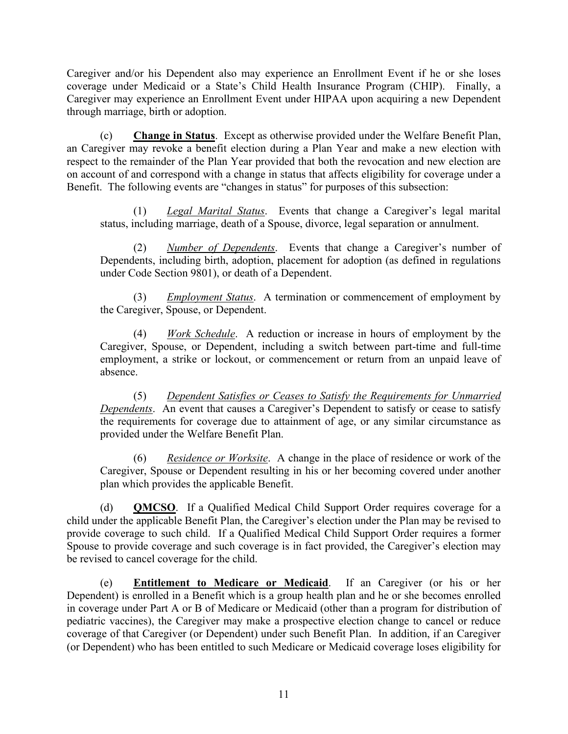Caregiver and/or his Dependent also may experience an Enrollment Event if he or she loses<br>coverage under Medicaid or a State's Child Health Insurance Program (CHIP). Finally, a<br>Caregiver may experience an Enrollment Event coverage under Medicaid or a State's Child Health Insurance Program (CHIP). Finally, a Caregiver and/or his Dependent also may experience an Enrollment Event if he or she loses<br>coverage under Medicaid or a State's Child Health Insurance Program (CHIP). Finally, a<br>Caregiver may experience an Enrollment Event through marriage, birth or adoption.

(c) Change in Status. Except as otherwise provided under the Welfare Benefit Plan, Caregiver and/or his Dependent also may experience an Enrollment Event if he or she loses<br>coverage under Medicial or a State's Child Health Insurance Program (CHIP). Finally, a<br>Caregiver may experience an Enrollment Event respect to the remainder of the Plan Year provided that both the revocation and new election are on account of and correspond with a change in status that affects eligibility for coverage under a Benefit. The following events are "changes in status" for purposes of this subsection: (2) Total management also may experience an Enrollment Event if he or she loses<br>
r Medicaid or a State's Child Health Insurance Program (CHIP). Finally, a<br>
experience an Enrollment Event under HIPAA upon acquiring a new De

(1) Legal Marital Status. Events that change a Caregiver's legal marital status, including marriage, death of a Spouse, divorce, legal separation or annulment.

Dependents, including birth, adoption, placement for adoption (as defined in regulations under Code Section 9801), or death of a Dependent.

(3) Employment Status. A termination or commencement of employment by the Caregiver, Spouse, or Dependent.

(4) Work Schedule. A reduction or increase in hours of employment by the Caregiver, Spouse, or Dependent, including a switch between part-time and full-time employment, a strike or lockout, or commencement or return from an unpaid leave of absence. unt of and correspond with a change in status that affects eligibility for coverage under a<br>
The following events are "changes in status" for purposes of this subsection:<br>
The following events are "changes in status" for

(5) Dependent Satisfies or Ceases to Satisfy the Requirements for Unmarried Dependents. An event that causes a Caregiver's Dependent to satisfy or cease to satisfy the requirements for coverage due to attainment of age, or any similar circumstance as provided under the Welfare Benefit Plan.

(6) Residence or Worksite. A change in the place of residence or work of the Caregiver, Spouse or Dependent resulting in his or her becoming covered under another plan which provides the applicable Benefit.

(d) QMCSO. If a Qualified Medical Child Support Order requires coverage for a child under the applicable Benefit Plan, the Caregiver's election under the Plan may be revised to provide coverage to such child. If a Qualified Medical Child Support Order requires a former Spouse to provide coverage and such coverage is in fact provided, the Caregiver's election may be revised to cancel coverage for the child.

Caregiver, Spouse, or Dependent, including a switch between part-time and full-time<br>
employment, a strike or lockout, or commencement or return from an unpaid leave of<br>
absence.<br>
(5) Dependent Satisfyes or Ceases to Satis Dependent) is enrolled in a Benefit which is a group health plan and he or she becomes enrolled in coverage under Part A or B of Medicare or Medicaid (other than a program for distribution of (5) Dependent Satisfies or Ceases to Satisfie the Requirements for Umnarried<br>
Dependents. An event that causes a Caregiver's Dependent to satisfy or ecase to satisfy<br>
the requirements for coverage due to attainment of age coverage of that Caregiver (or Dependent) under such Benefit Plan. In addition, if an Caregiver (or Dependent) who has been entitled to such Medicare or Medicaid coverage loses eligibility for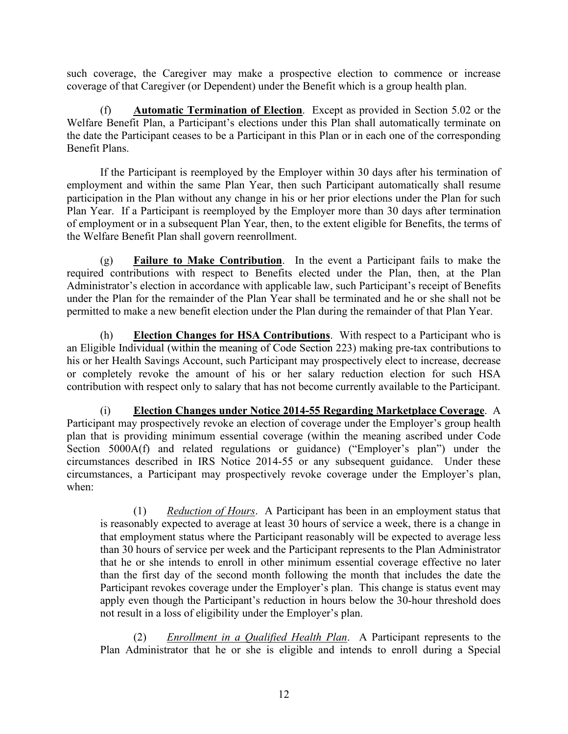such coverage, the Caregiver may make a prospective election to commence or increase<br>coverage of that Caregiver (or Dependent) under the Benefit which is a group health plan.<br>(f) **Automatic Termination of Election**. Except such coverage, the Caregiver may make a prospective election to commence or increase<br>coverage of that Caregiver (or Dependent) under the Benefit which is a group health plan.<br>(f) **Automatic Termination of Election**. Except by a consequent that Care are consequently made a prospective election to commence or increase<br>
(f) Automatic Termination of Election. Except as provided in Section 5.02 or the<br>
Exerciti Plan, a Participant's elections und Welfare Benefit Plan, a Participant's elections under this Plan shall automatically terminate on the date the Participant ceases to be a Participant in this Plan or in each one of the corresponding Benefit Plans.

If the Caregiver may make a prospective election to commenee or increase<br>
If the Caregiver (or Dependent) under the Benefit which is a group health plan.<br>
(f) **Automatic Termination of Election**. Except as provided in Sect employment and within the same Plan Year, then such Participant automatically shall resume participation in the Plan without any change in his or her prior elections under the Plan for such Plan Year. If a Participant is reemployed by the Employer more than 30 days after termination of employment or in a subsequent Plan Year, then, to the extent eligible for Benefits, the terms of the Welfare Benefit Plan shall govern reenrollment.

(g) Failure to Make Contribution. In the event a Participant fails to make the required contributions with respect to Benefits elected under the Plan, then, at the Plan Administrator's election in accordance with applicable law, such Participant's receipt of Benefits under the Plan for the remainder of the Plan Year shall be terminated and he or she shall not be permitted to make a new benefit election under the Plan during the remainder of that Plan Year.

(h) Election Changes for HSA Contributions. With respect to a Participant who is an Eligible Individual (within the meaning of Code Section 223) making pre-tax contributions to his or her Health Savings Account, such Participant may prospectively elect to increase, decrease or completely revoke the amount of his or her salary reduction election for such HSA contribution with respect only to salary that has not become currently available to the Participant.

(i) Election Changes under Notice 2014-55 Regarding Marketplace Coverage. A Participant may prospectively revoke an election of coverage under the Employer's group health plan that is providing minimum essential coverage (within the meaning ascribed under Code Section 5000A(f) and related regulations or guidance) ("Employer's plan") under the circumstances described in IRS Notice 2014-55 or any subsequent guidance. Under these circumstances, a Participant may prospectively revoke coverage under the Employer's plan, when:

(1) Reduction of Hours. A Participant has been in an employment status that is reasonably expected to average at least 30 hours of service a week, there is a change in that employment status where the Participant reasonably will be expected to average less than 30 hours of service per week and the Participant represents to the Plan Administrator that he or she intends to enroll in other minimum essential coverage effective no later than the first day of the second month following the month that includes the date the Participant revokes coverage under the Employer's plan. This change is status event may apply even though the Participant's reduction in hours below the 30-hour threshold does not result in a loss of eligibility under the Employer's plan.

(2) Enrollment in a Qualified Health Plan. A Participant represents to the Plan Administrator that he or she is eligible and intends to enroll during a Special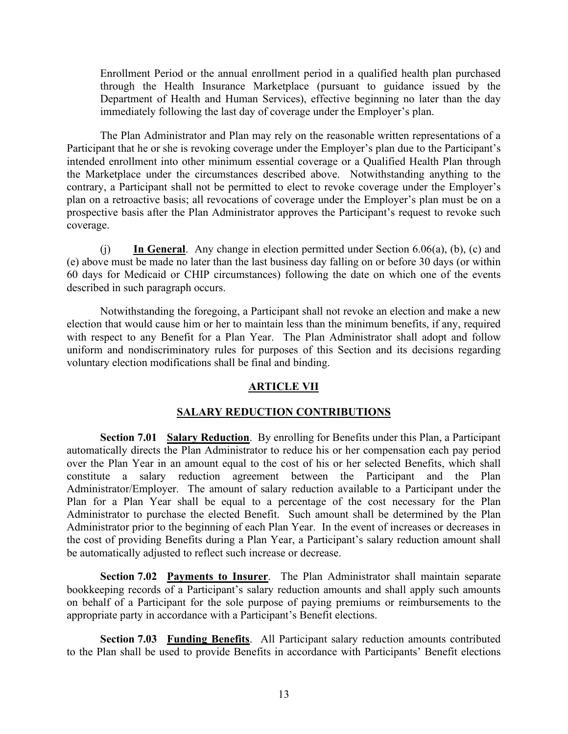Enrollment Period or the annual enrollment period in a qualified health plan purchased through the Health Insurance Marketplace (pursuant to guidance issued by the Department of Health and Human Services), effective beginning no later than the day immediately following the last day of coverage under the Employer's plan.

The Plan Administrator and Plan may rely on the reasonable written representations of a Participant that he or she is revoking coverage under the Employer's plan due to the Participant's intended enrollment into other minimum essential coverage or a Qualified Health Plan through the Marketplace under the circumstances described above. Notwithstanding anything to the contrary, a Participant shall not be permitted to elect to revoke coverage under the Employer's plan on a retroactive basis; all revocations of coverage under the Employer's plan must be on a prospective basis after the Plan Administrator approves the Participant's request to revoke such coverage.

(j) In General. Any change in election permitted under Section  $6.06(a)$ ,  $(b)$ ,  $(c)$  and (e) above must be made no later than the last business day falling on or before 30 days (or within 60 days for Medicaid or CHIP circumstances) following the date on which one of the events described in such paragraph occurs.

Notwithstanding the foregoing, a Participant shall not revoke an election and make a new election that would cause him or her to maintain less than the minimum benefits, if any, required with respect to any Benefit for a Plan Year. The Plan Administrator shall adopt and follow uniform and nondiscriminatory rules for purposes of this Section and its decisions regarding voluntary election modifications shall be final and binding.

# ARTICLE VII

# SALARY REDUCTION CONTRIBUTIONS

Section 7.01 Salary Reduction. By enrolling for Benefits under this Plan, a Participant automatically directs the Plan Administrator to reduce his or her compensation each pay period prospective basis after the Plan Administrator approves the Participant's request to revoke such<br>coverage.<br>(i)  $\frac{1}{10}$  General. Any change in election permitted under Section 6.06(a), (b), (c) and<br>(c) above must be mad over the Plan Year in an amount equal to the cost of his or her selected Benefits, which shall constitute a salary reduction agreement between the Participant and the Plan Administrator/Employer. The amount of salary reduction available to a Participant under the Plan for a Plan Year shall be equal to a percentage of the cost necessary for the Plan Administrator to purchase the elected Benefit. Such amount shall be determined by the Plan of user of the electron and the electron endeal of the electron and the electron that would cause him or her to maintain less than the minimum benefits, if any, required<br>electron that would cause him or her to maintain les deserties in such paragraph occurs.<br>
Notwithstanding the foregoing, a Participant shall not revoke an election and make a new<br>
election that would eause him or her to maintain less than the minimum benefits, if any, requir the cost of providing Benefits during a Plan Year, a Participant's salary reduction amount shall be automatically adjusted to reflect such increase or decrease. spect to any Benefit for a Pain Tear. The Plan Administrator shall apply and nondiscriminatory rules for purposes of this Section and its decisions regarding<br>ry election modifications shall be final and binding.<br>**ARTICLE V** 

bookkeeping records of a Participant's salary reduction amounts and shall apply such amounts on behalf of a Participant for the sole purpose of paying premiums or reimbursements to the appropriate party in accordance with a Participant's Benefit elections.

Section 7.03 Funding Benefits. All Participant salary reduction amounts contributed to the Plan shall be used to provide Benefits in accordance with Participants' Benefit elections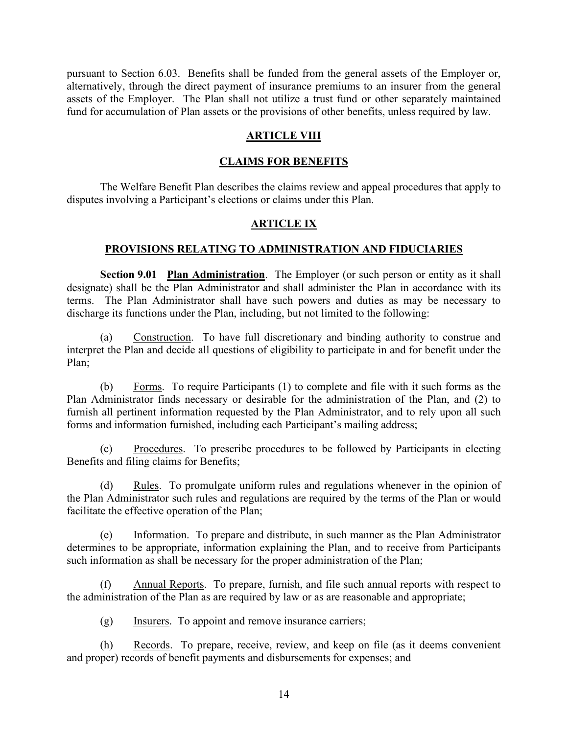pursuant to Section 6.03. Benefits shall be funded from the general assets of the Employer or, alternatively, through the direct payment of insurance premiums to an insurer from the general assets of the Employer. The Plan shall not utilize a trust fund or other separately maintained fund for accumulation of Plan assets or the provisions of other benefits, unless required by law.

### ARTICLE VIII

#### CLAIMS FOR BENEFITS

The Welfare Benefit Plan describes the claims review and appeal procedures that apply to disputes involving a Participant's elections or claims under this Plan.

#### ARTICLE IX

#### PROVISIONS RELATING TO ADMINISTRATION AND FIDUCIARIES

Section 9.01 Plan Administration. The Employer (or such person or entity as it shall designate) shall be the Plan Administrator and shall administer the Plan in accordance with its terms. The Plan Administrator shall have such powers and duties as may be necessary to discharge its functions under the Plan, including, but not limited to the following:

(a) Construction. To have full discretionary and binding authority to construe and interpret the Plan and decide all questions of eligibility to participate in and for benefit under the Plan;

(b) Forms. To require Participants (1) to complete and file with it such forms as the Plan Administrator finds necessary or desirable for the administration of the Plan, and (2) to furnish all pertinent information requested by the Plan Administrator, and to rely upon all such forms and information furnished, including each Participant's mailing address;

(c) Procedures. To prescribe procedures to be followed by Participants in electing Benefits and filing claims for Benefits;

(d) Rules. To promulgate uniform rules and regulations whenever in the opinion of the Plan Administrator such rules and regulations are required by the terms of the Plan or would facilitate the effective operation of the Plan;

(e) Information. To prepare and distribute, in such manner as the Plan Administrator determines to be appropriate, information explaining the Plan, and to receive from Participants such information as shall be necessary for the proper administration of the Plan;

(f) Annual Reports. To prepare, furnish, and file such annual reports with respect to the administration of the Plan as are required by law or as are reasonable and appropriate;

(g) Insurers. To appoint and remove insurance carriers;

(h) Records. To prepare, receive, review, and keep on file (as it deems convenient and proper) records of benefit payments and disbursements for expenses; and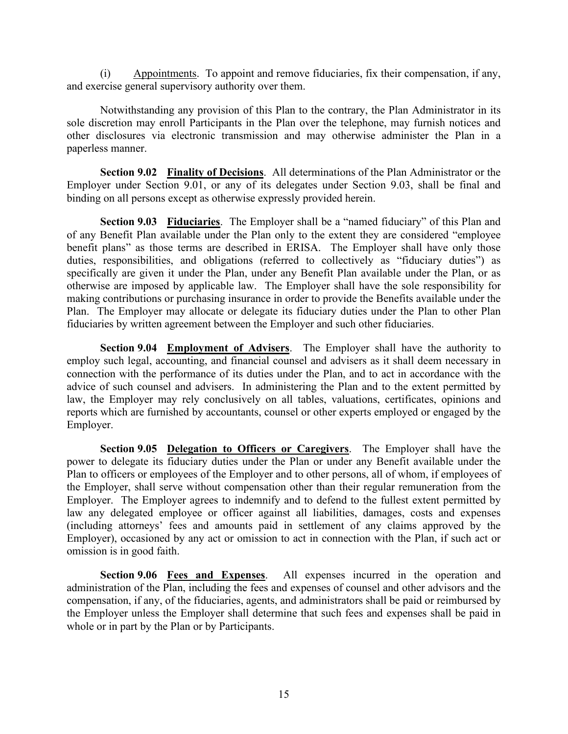(i) Appointments. To appoint and remove fiduciaries, fix their compensation, if any, and exercise general supervisory authority over them.

(i) Appointments. To appoint and remove fiduciaries, fix their compensation, if any,<br>recise general supervisory authority over them.<br>Notwithstanding any provision of this Plan to the contrary, the Plan Administrator in its sole discretion may enroll Participants in the Plan over the telephone, may furnish notices and other disclosures via electronic transmission and may otherwise administer the Plan in a paperless manner. (i) **Appointments**. To appoint and remove fiduciaries, fix their compensation, if any, and exercise general supervisory authority over them.<br>
Notwithstanding any provision of this Plan to the contrary, the Plan Administra

Section 9.02 Finality of Decisions. All determinations of the Plan Administrator or the binding on all persons except as otherwise expressly provided herein.

Section 9.03 Fiduciaries. The Employer shall be a "named fiduciary" of this Plan and of any Benefit Plan available under the Plan only to the extent they are considered "employee benefit plans" as those terms are described in ERISA. The Employer shall have only those duties, responsibilities, and obligations (referred to collectively as "fiduciary duties") as specifically are given it under the Plan, under any Benefit Plan available under the Plan, or as otherwise are imposed by applicable law. The Employer shall have the sole responsibility for making contributions or purchasing insurance in order to provide the Benefits available under the Plan. The Employer may allocate or delegate its fiduciary duties under the Plan to other Plan and exercise general supervisory authority over them.<br>
Notwithstanding any provision of this Plan to the contrary, the Plan Administrator in its<br>
sole discretion may enroll Participants in the Plan over the telephone, may other discourse via electronic transmission and may otherwise administer the Plan in a<br>paperless manner.<br>Section 9.02 **Finality of Decisions**. All determinations of the Plan Administrator or the<br>Employer under Section 9.01 **Section 9.02 Emality of Decisions**. All dcterminations of the Plan Administrator or the Employer under Section 9.01, or any of its delegates under Section 9.03, shall be final and brinding on all persons except as other **Section 9.03 Fiduciaries.** The Employer shall be a "named fiduciary" of this Plan and Benefit Plan available under the Plan only to the extent they are considered "ormloyee plans" as those terms are described in ERISA. T

Section 9.04 Employment of Advisers. The Employer shall have the authority to employ such legal, accounting, and financial counsel and advisers as it shall deem necessary in advice of such counsel and advisers. In administering the Plan and to the extent permitted by reports which are furnished by accountants, counsel or other experts employed or engaged by the Employer.

power to delegate its fiduciary duties under the Plan or under any Benefit available under the Plan to officers or employees of the Employer and to other persons, all of whom, if employees of the Employer, shall serve without compensation other than their regular remuneration from the Employer. The Employer agrees to indemnify and to defend to the fullest extent permitted by law any delegated employee or officer against all liabilities, damages, costs and expenses (including attorneys' fees and amounts paid in settlement of any claims approved by the Employer), occasioned by any act or omission to act in connection with the Plan, if such act or omission is in good faith. connection winn the performane or its sutures under the Prain, and to a cert in accordance winn to consider that advisers. In administering the Plan and to the extent permitted by law, the Employer may rely conclusively on

Section 9.06 Fees and Expenses. All expenses incurred in the operation and administration of the Plan, including the fees and expenses of counsel and other advisors and the compensation, if any, of the fiduciaries, agents, and administrators shall be paid or reimbursed by whole or in part by the Plan or by Participants.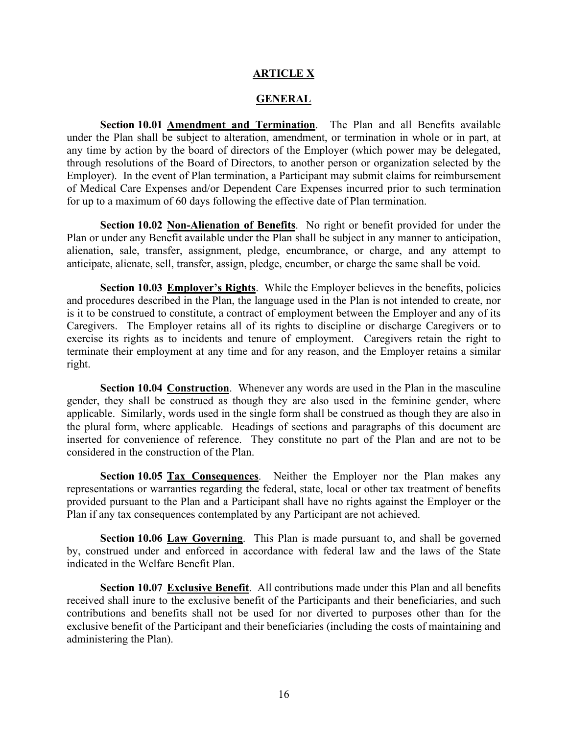#### ARTICLE X

#### **GENERAL**

Section 10.01 Amendment and Termination. The Plan and all Benefits available under the Plan shall be subject to alteration, amendment, or termination in whole or in part, at any time by action by the board of directors of the Employer (which power may be delegated, through resolutions of the Board of Directors, to another person or organization selected by the Employer). In the event of Plan termination, a Participant may submit claims for reimbursement of Medical Care Expenses and/or Dependent Care Expenses incurred prior to such termination for up to a maximum of 60 days following the effective date of Plan termination.

Section 10.02 Non-Alienation of Benefits. No right or benefit provided for under the Plan or under any Benefit available under the Plan shall be subject in any manner to anticipation, alienation, sale, transfer, assignment, pledge, encumbrance, or charge, and any attempt to anticipate, alienate, sell, transfer, assign, pledge, encumber, or charge the same shall be void.

Section 10.03 Employer's Rights. While the Employer believes in the benefits, policies and procedures described in the Plan, the language used in the Plan is not intended to create, nor is it to be construed to constitute, a contract of employment between the Employer and any of its Caregivers. The Employer retains all of its rights to discipline or discharge Caregivers or to exercise its rights as to incidents and tenure of employment. Caregivers retain the right to terminate their employment at any time and for any reason, and the Employer retains a similar right.

Section 10.04 Construction. Whenever any words are used in the Plan in the masculine gender, they shall be construed as though they are also used in the feminine gender, where applicable. Similarly, words used in the single form shall be construed as though they are also in the plural form, where applicable. Headings of sections and paragraphs of this document are inserted for convenience of reference. They constitute no part of the Plan and are not to be considered in the construction of the Plan.

Section 10.05 Tax Consequences. Neither the Employer nor the Plan makes any representations or warranties regarding the federal, state, local or other tax treatment of benefits provided pursuant to the Plan and a Participant shall have no rights against the Employer or the Plan if any tax consequences contemplated by any Participant are not achieved.

Section 10.06 Law Governing. This Plan is made pursuant to, and shall be governed by, construed under and enforced in accordance with federal law and the laws of the State indicated in the Welfare Benefit Plan.

Section 10.07 Exclusive Benefit. All contributions made under this Plan and all benefits received shall inure to the exclusive benefit of the Participants and their beneficiaries, and such contributions and benefits shall not be used for nor diverted to purposes other than for the exclusive benefit of the Participant and their beneficiaries (including the costs of maintaining and administering the Plan).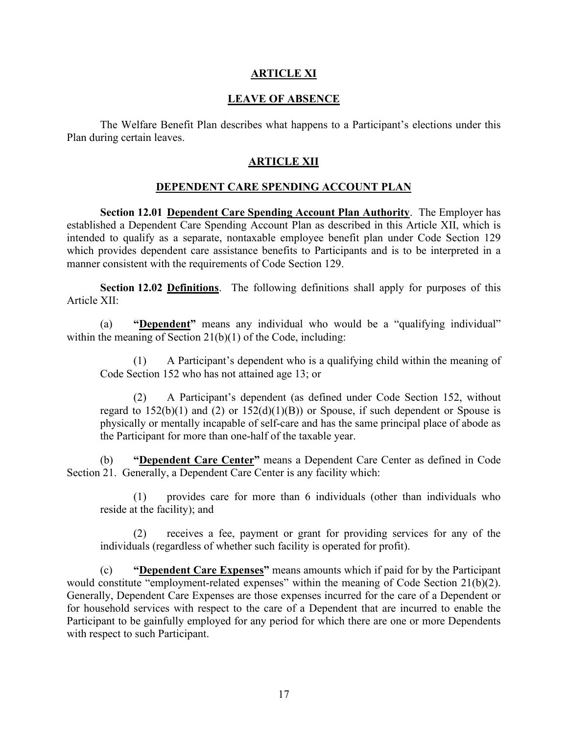### ARTICLE XI

#### LEAVE OF ABSENCE

**THE WE ARTICLE AT ARTICLE ASSENCE**<br>The Welfare Benefit Plan describes what happens to a Participant's elections under this<br>ring certain leaves.<br>ARTICLE XII Plan during certain leaves.

#### ARTICLE XII

#### DEPENDENT CARE SPENDING ACCOUNT PLAN

Section 12.01 Dependent Care Spending Account Plan Authority. The Employer has established a Dependent Care Spending Account Plan as described in this Article XII, which is **ERAVE OF ABSENCE**<br>
The Welfare Benefit Plan describes what happens to a Participant's elections under this<br>
Plan during certain leaves.<br> **ARTICLE XII**<br> **DEPENDENT CARE SPENDING ACCOUNT PLAN**<br> **Section 12.01 Dependent Care** intended to qualify as a separate, nontaxable employee benefit plan under Code Section 129 which provides dependent care assistance benefits to Participants and is to be interpreted in a manner consistent with the requirements of Code Section 129.

Section 12.02 Definitions. The following definitions shall apply for purposes of this Article XII:

(a) "Dependent" means any individual who would be a "qualifying individual" within the meaning of Section 21(b)(1) of the Code, including:

(1) A Participant's dependent who is a qualifying child within the meaning of Code Section 152 who has not attained age 13; or

(2) A Participant's dependent (as defined under Code Section 152, without regard to  $152(b)(1)$  and (2) or  $152(d)(1)(B)$  or Spouse, if such dependent or Spouse is physically or mentally incapable of self-care and has the same principal place of abode as the Participant for more than one-half of the taxable year.

(b) "Dependent Care Center" means a Dependent Care Center as defined in Code Section 21. Generally, a Dependent Care Center is any facility which:

(1) provides care for more than 6 individuals (other than individuals who reside at the facility); and

(2) receives a fee, payment or grant for providing services for any of the individuals (regardless of whether such facility is operated for profit).

(c) "Dependent Care Expenses" means amounts which if paid for by the Participant would constitute "employment-related expenses" within the meaning of Code Section 21(b)(2). (1) A Participant's dependent who is a qualifying child within the meaning of<br>
Code Section 152 who has not attained age 13; or<br>
(2) A participant's dependent (as defined under Code Section 152, without<br>
regard to 152(b)( for household services with respect to the care of a Dependent that are incurred to enable the Participant to be gainfully employed for any period for which there are one or more Dependents with respect to such Participant.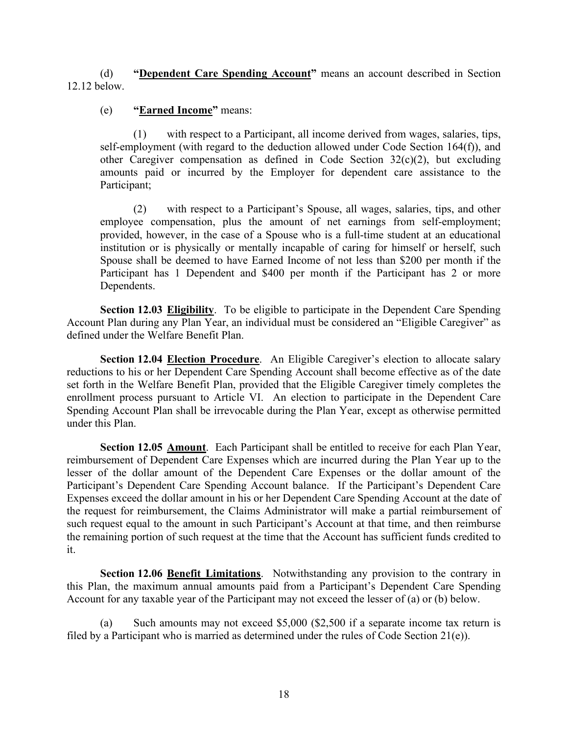(d) "Dependent Care Spending Account" means an account described in Section 12.12 below.

# (e) "Earned Income" means:

with respect to a Participant, all income derived from wages, salaries, tips, self-employment (with regard to the deduction allowed under Code Section 164(f)), and (d) **"Dependent Care Spending Account"** means an account described in Section<br>elow.<br>(e) **"Earned Income"** means:<br>(1) with respect to a Participant, all income derived from wages, salaries, tips,<br>self-employment (with rega amounts paid or incurred by the Employer for dependent care assistance to the Participant;

**"Dependent Care Spending Account"** means an account described in Section<br> **"Earned Income"** means:<br>
(1) with respect to a Participant, all income derived from wages, salaries, tips,<br>
plyoment (with regard to the deductio employee compensation, plus the amount of net earnings from self-employment; provided, however, in the case of a Spouse who is a full-time student at an educational institution or is physically or mentally incapable of caring for himself or herself, such Spouse shall be deemed to have Earned Income of not less than \$200 per month if the Participant has 1 Dependent and \$400 per month if the Participant has 2 or more Dependents.

Section 12.03 Eligibility. To be eligible to participate in the Dependent Care Spending Account Plan during any Plan Year, an individual must be considered an "Eligible Caregiver" as defined under the Welfare Benefit Plan.

Section 12.04 Election Procedure. An Eligible Caregiver's election to allocate salary reductions to his or her Dependent Care Spending Account shall become effective as of the date set forth in the Welfare Benefit Plan, provided that the Eligible Caregiver timely completes the enrollment process pursuant to Article VI. An election to participate in the Dependent Care Spending Account Plan shall be irrevocable during the Plan Year, except as otherwise permitted under this Plan.

Section 12.05 Amount. Each Participant shall be entitled to receive for each Plan Year, reimbursement of Dependent Care Expenses which are incurred during the Plan Year up to the lesser of the dollar amount of the Dependent Care Expenses or the dollar amount of the Participant's Dependent Care Spending Account balance. If the Participant's Dependent Care Expenses exceed the dollar amount in his or her Dependent Care Spending Account at the date of the request for reimbursement, the Claims Administrator will make a partial reimbursement of such request equal to the amount in such Participant's Account at that time, and then reimburse the remaining portion of such request at the time that the Account has sufficient funds credited to it.

Section 12.06 Benefit Limitations. Notwithstanding any provision to the contrary in this Plan, the maximum annual amounts paid from a Participant's Dependent Care Spending Account for any taxable year of the Participant may not exceed the lesser of (a) or (b) below.

(a) Such amounts may not exceed \$5,000 (\$2,500 if a separate income tax return is filed by a Participant who is married as determined under the rules of Code Section 21(e)).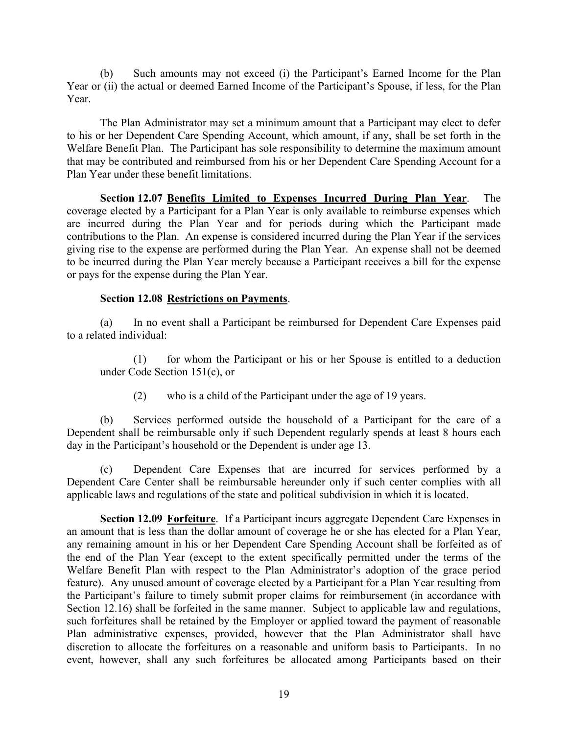(b) Such amounts may not exceed (i) the Participant's Earned Income for the Plan Year or (ii) the actual or deemed Earned Income of the Participant's Spouse, if less, for the Plan Year.

The Plan Administrator may set a minimum amount that a Participant may elect to defer to his or her Dependent Care Spending Account, which amount, if any, shall be set forth in the Welfare Benefit Plan. The Participant has sole responsibility to determine the maximum amount that may be contributed and reimbursed from his or her Dependent Care Spending Account for a Plan Year under these benefit limitations.

Section 12.07 Benefits Limited to Expenses Incurred During Plan Year. The coverage elected by a Participant for a Plan Year is only available to reimburse expenses which are incurred during the Plan Year and for periods during which the Participant made contributions to the Plan. An expense is considered incurred during the Plan Year if the services giving rise to the expense are performed during the Plan Year. An expense shall not be deemed to be incurred during the Plan Year merely because a Participant receives a bill for the expense or pays for the expense during the Plan Year.

Section 12.08 <u>Restrictions on Payments</u>.<br>
(a) In no event shall a Participant be reimbursed for Dependent Care Expenses paid to a related individual:

for whom the Participant or his or her Spouse is entitled to a deduction under Code Section 151(c), or

(2) who is a child of the Participant under the age of 19 years.

(b) Services performed outside the household of a Participant for the care of a Dependent shall be reimbursable only if such Dependent regularly spends at least 8 hours each day in the Participant's household or the Dependent is under age 13.

(c) Dependent Care Expenses that are incurred for services performed by a Dependent Care Center shall be reimbursable hereunder only if such center complies with all applicable laws and regulations of the state and political subdivision in which it is located.

Section 12.09 Forfeiture. If a Participant incurs aggregate Dependent Care Expenses in an amount that is less than the dollar amount of coverage he or she has elected for a Plan Year, any remaining amount in his or her Dependent Care Spending Account shall be forfeited as of the end of the Plan Year (except to the extent specifically permitted under the terms of the to a related individual:<br>
(1) for whom the Participant or his or her Spouse is entitled to a deduction<br>
under Code Section 151(c), or<br>
(2) who is a child of the Participant under the age of 19 years.<br>
(b) Services perform feature). Any unused amount of coverage elected by a Participant for a Plan Year resulting from the Participant's failure to timely submit proper claims for reimbursement (in accordance with Section 12.16) shall be forfeited in the same manner. Subject to applicable law and regulations, such forfeitures shall be retained by the Employer or applied toward the payment of reasonable<br>Plan administrative expenses, provided, however that the Plan Administrator shall have (2) who is a child of the Participant under the age of 19 years.<br>
(b) Services performed outside the household of a Participant for the care of a<br>
Dependent shall be reimbursable only if such Dependent regularly spends at discretion to allocate the forfeitures on a reasonable and uniform basis to Participants. In no event, however, shall any such forfeitures be allocated among Participants based on their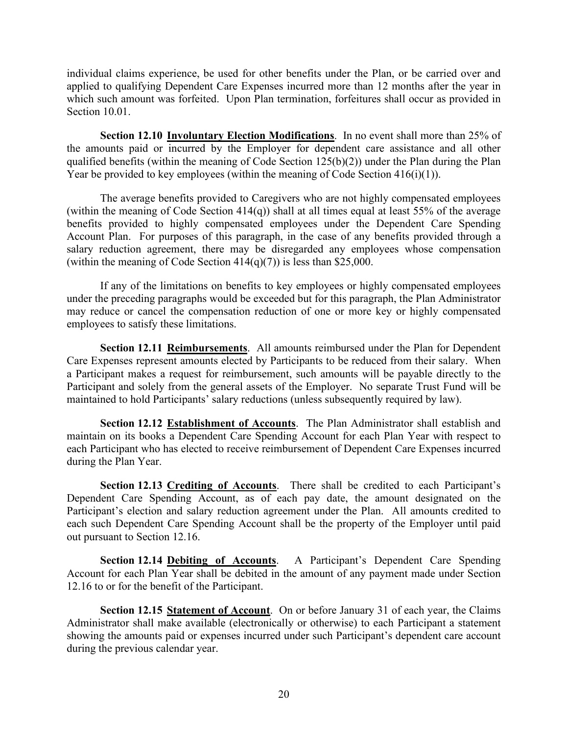individual claims experience, be used for other benefits under the Plan, or be carried over and applied to qualifying Dependent Care Expenses incurred more than 12 months after the year in which such amount was forfeited. Upon Plan termination, forfeitures shall occur as provided in Section 10.01.

Section 12.10 Involuntary Election Modifications. In no event shall more than 25% of the amounts paid or incurred by the Employer for dependent care assistance and all other qualified benefits (within the meaning of Code Section  $125(b)(2)$ ) under the Plan during the Plan Year be provided to key employees (within the meaning of Code Section  $416(i)(1)$ ).

The average benefits provided to Caregivers who are not highly compensated employees (within the meaning of Code Section 414(q)) shall at all times equal at least 55% of the average benefits provided to highly compensated employees under the Dependent Care Spending Account Plan. For purposes of this paragraph, in the case of any benefits provided through a salary reduction agreement, there may be disregarded any employees whose compensation (within the meaning of Code Section  $414(q)(7)$ ) is less than \$25,000.

If any of the limitations on benefits to key employees or highly compensated employees under the preceding paragraphs would be exceeded but for this paragraph, the Plan Administrator may reduce or cancel the compensation reduction of one or more key or highly compensated employees to satisfy these limitations.

Section 12.11 Reimbursements. All amounts reimbursed under the Plan for Dependent Care Expenses represent amounts elected by Participants to be reduced from their salary. When a Participant makes a request for reimbursement, such amounts will be payable directly to the Participant and solely from the general assets of the Employer. No separate Trust Fund will be maintained to hold Participants' salary reductions (unless subsequently required by law). section 12.11 **Reimbursements**. All amounts reimbursed under the Plan for Dependent<br>Section 12.11 **Reimbursements**. All amounts reimbursed under the Plan for Dependent<br>riginar transferse arequest for reimbursement, such am

Section 12.12 Establishment of Accounts. The Plan Administrator shall establish and maintain on its books a Dependent Care Spending Account for each Plan Year with respect to each Participant who has elected to receive reimbursement of Dependent Care Expenses incurred during the Plan Year.

Section 12.13 Crediting of Accounts. There shall be credited to each Participant's Dependent Care Spending Account, as of each pay date, the amount designated on the Participant's election and salary reduction agreement under the Plan. All amounts credited to each such Dependent Care Spending Account shall be the property of the Employer until paid out pursuant to Section 12.16. Participant and solely from the general assets of the Employer. No separate Trust Fund will be maintained to hold Participants' salary reductions (unless subsequently required by law).<br>
Section 12.12 <u>Extablish meth of Acc</u>

Account for each Plan Year shall be debited in the amount of any payment made under Section 12.16 to or for the benefit of the Participant.

Section 12.15 Statement of Account. On or before January 31 of each year, the Claims Administrator shall make available (electronically or otherwise) to each Participant a statement showing the amounts paid or expenses incurred under such Participant's dependent care account during the previous calendar year.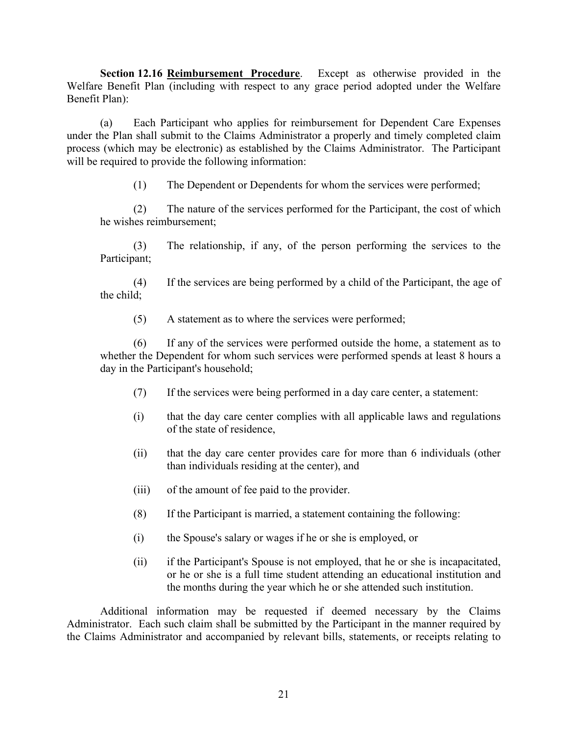Section 12.16 Reimbursement Procedure. Except as otherwise provided in the Welfare Benefit Plan (including with respect to any grace period adopted under the Welfare Benefit Plan):

(a) Each Participant who applies for reimbursement for Dependent Care Expenses under the Plan shall submit to the Claims Administrator a properly and timely completed claim process (which may be electronic) as established by the Claims Administrator. The Participant will be required to provide the following information:

(1) The Dependent or Dependents for whom the services were performed;

(2) The nature of the services performed for the Participant, the cost of which he wishes reimbursement;

(3) The relationship, if any, of the person performing the services to the Participant;

(4) If the services are being performed by a child of the Participant, the age of the child;

(5) A statement as to where the services were performed;

(6) If any of the services were performed outside the home, a statement as to whether the Dependent for whom such services were performed spends at least 8 hours a day in the Participant's household;

- (7) If the services were being performed in a day care center, a statement:
- (i) that the day care center complies with all applicable laws and regulations of the state of residence,
- (ii) that the day care center provides care for more than 6 individuals (other than individuals residing at the center), and
- (iii) of the amount of fee paid to the provider.
- (8) If the Participant is married, a statement containing the following:
- (i) the Spouse's salary or wages if he or she is employed, or
- (ii) if the Participant's Spouse is not employed, that he or she is incapacitated, or he or she is a full time student attending an educational institution and the months during the year which he or she attended such institution.

Additional information may be requested if deemed necessary by the Claims Administrator. Each such claim shall be submitted by the Participant in the manner required by the Claims Administrator and accompanied by relevant bills, statements, or receipts relating to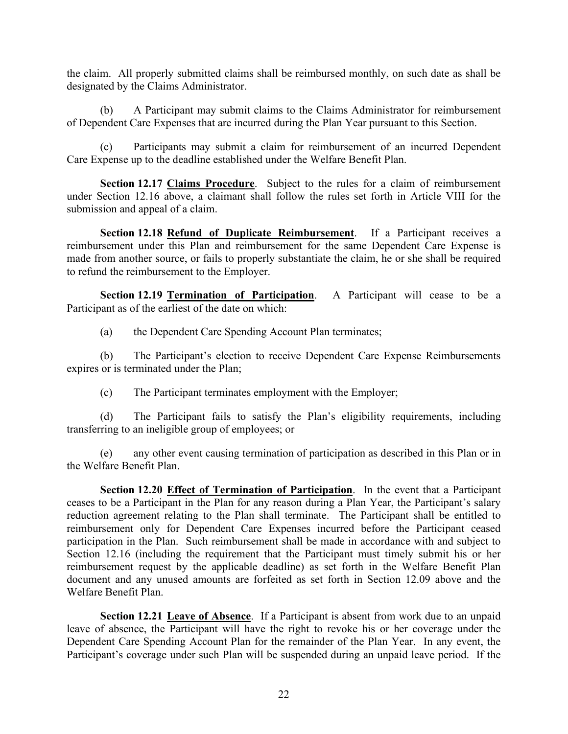the claim. All properly submitted claims shall be reimbursed monthly, on such date as shall be designated by the Claims Administrator.

of Dependent Care Expenses that are incurred during the Plan Year pursuant to this Section.

(b) A Participant may submitted claims shall be reimbursed monthly, on such date as shall be<br>
(b) A Participant may submit claims to the Claims Administrator for reimbursement<br>
endent Care Expenses that are incurred during (c) Participants may submit a claim for reimbursement of an incurred Dependent Care Expense up to the deadline established under the Welfare Benefit Plan.

Section 12.17 Claims Procedure. Subject to the rules for a claim of reimbursement under Section 12.16 above, a claimant shall follow the rules set forth in Article VIII for the submission and appeal of a claim.

Section 12.18 Refund of Duplicate Reimbursement. If a Participant receives a reimbursement under this Plan and reimbursement for the same Dependent Care Expense is made from another source, or fails to properly substantiate the claim, he or she shall be required to refund the reimbursement to the Employer. **Section 12.17 Claims Procedure.** Subject to the rules for a claim of reimbursement cection 12.18 doove, a claimant shall follow the rules set forth in Article VIII for the sion and appeal of a claim.<br> **Section 12.18 <u>Ref**</u> **Section 12.18 <u>Refund of Duplicate Reimbursement</u></u>. If a Participant receives a<br>
Sesment under this Plan and reimbursement for the same Dependent Care Expense is<br>
com another source, or fails to properly substantiate the** 

Section 12.19 Termination of Participation. A Participant will cease to be a Participant as of the earliest of the date on which:

(a) the Dependent Care Spending Account Plan terminates;

(b) The Participant's election to receive Dependent Care Expense Reimbursements expires or is terminated under the Plan;

(c) The Participant terminates employment with the Employer;

transferring to an ineligible group of employees; or

the Welfare Benefit Plan.

Section 12.20 **Effect of Termination of Participation**. In the event that a Participant ceases to be a Participant in the Plan for any reason during a Plan Year, the Participant's salary reduction agreement relating to the Plan shall terminate. The Participant shall be entitled to reimbursement only for Dependent Care Expenses incurred before the Participant ceased participation in the Plan. Such reimbursement shall be made in accordance with and subject to Section 12.16 (including the requirement that the Participant must timely submit his or her (a) the Dependent Care Spending Account Plan terminates;<br>
(b) The Participant's election to receive Dependent Care Expense Reimbursements<br>
expires or is terminated under the Plan;<br>
(c) The Participant terminates employmen document and any unused amounts are forfeited as set forth in Section 12.09 above and the Welfare Benefit Plan.

Section 12.21 Leave of Absence. If a Participant is absent from work due to an unpaid leave of absence, the Participant will have the right to revoke his or her coverage under the Dependent Care Spending Account Plan for the remainder of the Plan Year. In any event, the Participant's coverage under such Plan will be suspended during an unpaid leave period. If the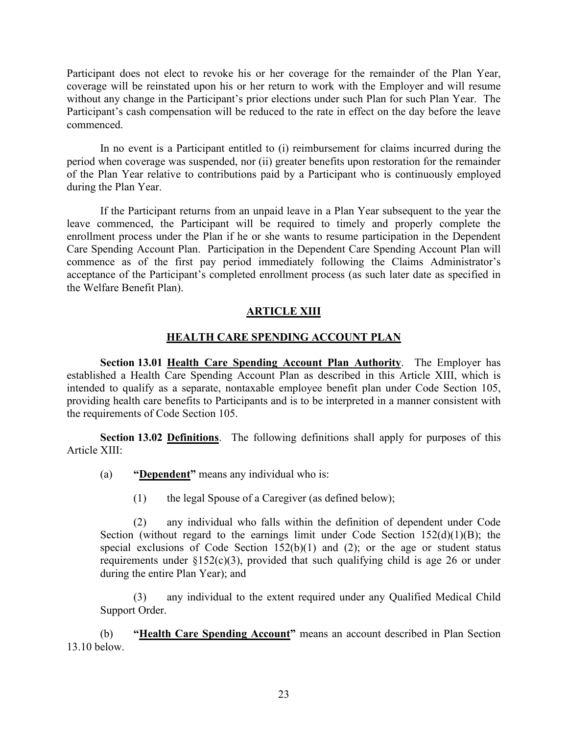Participant does not elect to revoke his or her coverage for the remainder of the Plan Year, coverage will be reinstated upon his or her return to work with the Employer and will resume without any change in the Participant's prior elections under such Plan for such Plan Year. The Participant's cash compensation will be reduced to the rate in effect on the day before the leave commenced.

In no event is a Participant entitled to (i) reimbursement for claims incurred during the period when coverage was suspended, nor (ii) greater benefits upon restoration for the remainder of the Plan Year relative to contributions paid by a Participant who is continuously employed during the Plan Year.

If the Participant returns from an unpaid leave in a Plan Year subsequent to the year the leave commenced, the Participant will be required to timely and properly complete the enrollment process under the Plan if he or she wants to resume participation in the Dependent Care Spending Account Plan. Participation in the Dependent Care Spending Account Plan will commence as of the first pay period immediately following the Claims Administrator's acceptance of the Participant's completed enrollment process (as such later date as specified in the Welfare Benefit Plan). In no event is a Participant entitled to (i) reimbursement for claims incurred during the<br>period when coverage was suspended, nor (ii) greater benefits upon restoration for the remainder<br>of the Plan Year relative to contri

# ARTICLE XIII

# HEALTH CARE SPENDING ACCOUNT PLAN

Section 13.01 Health Care Spending Account Plan Authority. The Employer has intended to qualify as a separate, nontaxable employee benefit plan under Code Section 105, providing health care benefits to Participants and is to be interpreted in a manner consistent with the requirements of Code Section 105.

Section 13.02 Definitions. The following definitions shall apply for purposes of this Article XIII:

- (a) **"Dependent"** means any individual who is:
	- (1) the legal Spouse of a Caregiver (as defined below);

(2) any individual who falls within the definition of dependent under Code Section (without regard to the earnings limit under Code Section  $152(d)(1)(B)$ ; the special exclusions of Code Section  $152(b)(1)$  and  $(2)$ ; or the age or student status requirements under  $\S152(c)(3)$ , provided that such qualifying child is age 26 or under during the entire Plan Year); and

(3) any individual to the extent required under any Qualified Medical Child Support Order.

(b) "Health Care Spending Account" means an account described in Plan Section 13.10 below.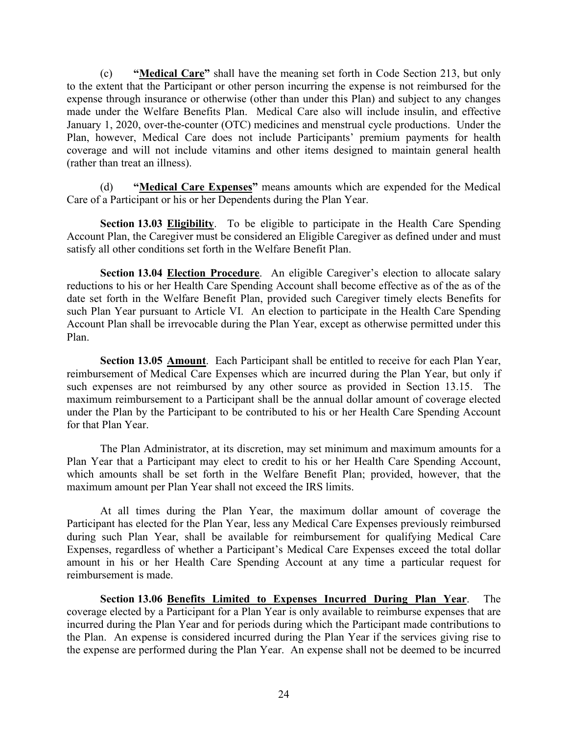(c) "Medical Care" shall have the meaning set forth in Code Section 213, but only to the extent that the Participant or other person incurring the expense is not reimbursed for the (c) **"Medical Care"** shall have the meaning set forth in Code Section 213, but only to the extent that the Participant or other person incurring the expense is not reimbursed for the expense through insurance or otherwise made under the Welfare Benefits Plan. Medical Care also will include insulin, and effective January 1, 2020, over-the-counter (OTC) medicines and menstrual cycle productions. Under the Plan, however, Medical Care does not include Participants' premium payments for health coverage and will not include vitamins and other items designed to maintain general health (rather than treat an illness). (c) **"Medical Care**" shall have the meaning set forth in Code Section 213, but only<br>
to the extent that the Participan to order values (older than under this Plan) and subject to any changes<br>
expects through insurance or (e) **"Medical Care"** shall have the meaning set forth in Code Section 213, but only<br>to the extent that the Participant or other person incurring the expense is not reimbursed for the<br>expense through insurance or otherwise

(d) "Medical Care Expenses" means amounts which are expended for the Medical Care of a Participant or his or her Dependents during the Plan Year.

Section 13.03 Eligibility. To be eligible to participate in the Health Care Spending satisfy all other conditions set forth in the Welfare Benefit Plan.

Section 13.04 Election Procedure. An eligible Caregiver's election to allocate salary reductions to his or her Health Care Spending Account shall become effective as of the as of the date set forth in the Welfare Benefit Plan, provided such Caregiver timely elects Benefits for such Plan Year pursuant to Article VI. An election to participate in the Health Care Spending Account Plan shall be irrevocable during the Plan Year, except as otherwise permitted under this Plan.

Section 13.05 Amount. Each Participant shall be entitled to receive for each Plan Year, reimbursement of Medical Care Expenses which are incurred during the Plan Year, but only if such expenses are not reimbursed by any other source as provided in Section 13.15. The maximum reimbursement to a Participant shall be the annual dollar amount of coverage elected under the Plan by the Participant to be contributed to his or her Health Care Spending Account for that Plan Year.

The Plan Administrator, at its discretion, may set minimum and maximum amounts for a Plan Year that a Participant may elect to credit to his or her Health Care Spending Account, which amounts shall be set forth in the Welfare Benefit Plan; provided, however, that the maximum amount per Plan Year shall not exceed the IRS limits.

At all times during the Plan Year, the maximum dollar amount of coverage the Participant has elected for the Plan Year, less any Medical Care Expenses previously reimbursed during such Plan Year, shall be available for reimbursement for qualifying Medical Care Expenses, regardless of whether a Participant's Medical Care Expenses exceed the total dollar amount in his or her Health Care Spending Account at any time a particular request for reimbursement is made.

Section 13.06 Benefits Limited to Expenses Incurred During Plan Year. The coverage elected by a Participant for a Plan Year is only available to reimburse expenses that are incurred during the Plan Year and for periods during which the Participant made contributions to the Plan. An expense is considered incurred during the Plan Year if the services giving rise to the expense are performed during the Plan Year. An expense shall not be deemed to be incurred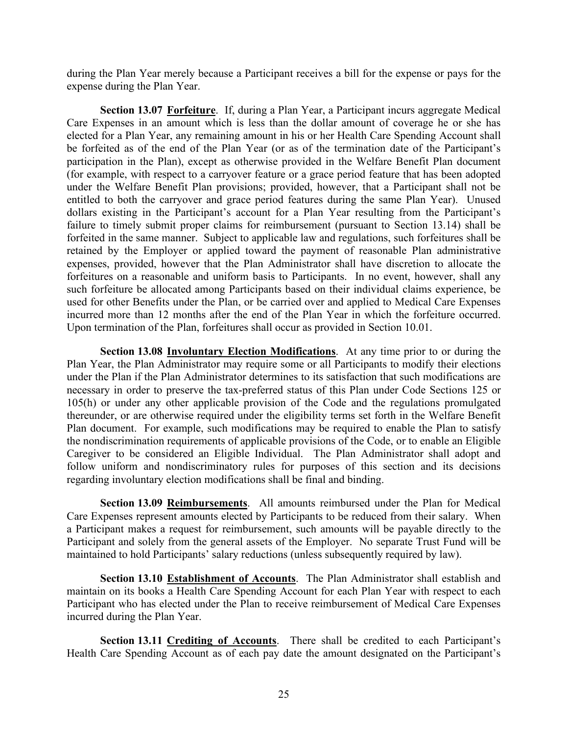during the Plan Year merely because a Participant receives a bill for the expense or pays for the expense during the Plan Year.

Section 13.07 Forfeiture. If, during a Plan Year, a Participant incurs aggregate Medical Care Expenses in an amount which is less than the dollar amount of coverage he or she has elected for a Plan Year, any remaining amount in his or her Health Care Spending Account shall be forfeited as of the end of the Plan Year (or as of the termination date of the Participant's participation in the Plan), except as otherwise provided in the Welfare Benefit Plan document during the Plan Year merely because a Participant receives a bill for the expense or pays for the expense during the Plan Year. Section 13.07 <u>Forfeiture</u>. If, during a Plan Year, a Participant incurs aggregate Medical Car under the Welfare Benefit Plan provisions; provided, however, that a Participant shall not be entitled to both the carryover and grace period features during the same Plan Year). Unused dollars existing in the Participant's account for a Plan Year resulting from the Participant's failure to timely submit proper claims for reimbursement (pursuant to Section 13.14) shall be forfeited in the same manner. Subject to applicable law and regulations, such forfeitures shall be retained by the Employer or applied toward the payment of reasonable Plan administrative expenses, provided, however that the Plan Administrator shall have discretion to allocate the forfeitures on a reasonable and uniform basis to Participants. In no event, however, shall any such forfeiture be allocated among Participants based on their individual claims experience, be used for other Benefits under the Plan, or be carried over and applied to Medical Care Expenses incurred more than 12 months after the end of the Plan Year in which the forfeiture occurred. Upon termination of the Plan, forfeitures shall occur as provided in Section 10.01. Care Expenses wir an amount which is to so main of course and the content of coverage to reached for a Plan Year, any remaining amount in his or her Health Care Spending Account shall<br>be forfeited as of the end of the Plan Exection of the Plan, the Plan is variable and the Plan Ceptual want of the Correliant and the prediction in the Plan Year (or as of the termination date of the Participant's participantion the Plan Never as of the termina

Section 13.08 Involuntary Election Modifications. At any time prior to or during the necessary in order to preserve the tax-preferred status of this Plan under Code Sections 125 or 105(h) or under any other applicable provision of the Code and the regulations promulgated thereunder, or are otherwise required under the eligibility terms set forth in the Welfare Benefit Plan document. For example, such modifications may be required to enable the Plan to satisfy the nondiscrimination requirements of applicable provisions of the Code, or to enable an Eligible Caregiver to be considered an Eligible Individual. The Plan Administrator shall adopt and follow uniform and nondiscriminatory rules for purposes of this section and its decisions regarding involuntary election modifications shall be final and binding.

Section 13.09 Reimbursements. All amounts reimbursed under the Plan for Medical Care Expenses represent amounts elected by Participants to be reduced from their salary. When a Participant makes a request for reimbursement, such amounts will be payable directly to the Participant and solely from the general assets of the Employer. No separate Trust Fund will be maintained to hold Participants' salary reductions (unless subsequently required by law).

Section 13.10 Establishment of Accounts. The Plan Administrator shall establish and maintain on its books a Health Care Spending Account for each Plan Year with respect to each Participant who has elected under the Plan to receive reimbursement of Medical Care Expenses incurred during the Plan Year.

Section 13.11 Crediting of Accounts. There shall be credited to each Participant's Health Care Spending Account as of each pay date the amount designated on the Participant's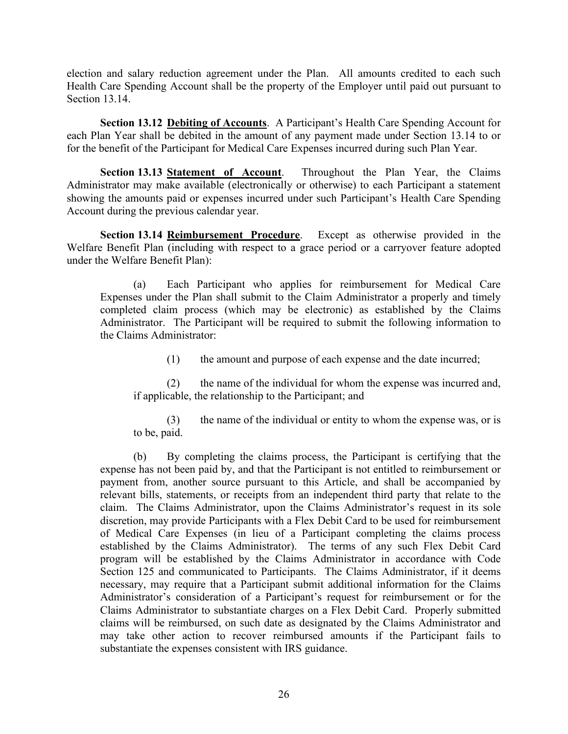election and salary reduction agreement under the Plan. All amounts credited to each such Health Care Spending Account shall be the property of the Employer until paid out pursuant to Section 13.14.

Section 13.12 Debiting of Accounts. A Participant's Health Care Spending Account for each Plan Year shall be debited in the amount of any payment made under Section 13.14 to or for the benefit of the Participant for Medical Care Expenses incurred during such Plan Year.

Section 13.13 Statement of Account. Throughout the Plan Year, the Claims Example 12. Health Care Spending Account shall be the property of the Employer until paid out pursuant to Section 13.12 **Debiting of Accounts**. A Participant's Health Care Spending Account for each Plan Year shall be debit showing the amounts paid or expenses incurred under such Participant's Health Care Spending Account during the previous calendar year. election and salary reduction agreement under the Plan. All amounts eredited to each such<br>Health Care Spending Account shall be the property of the Employer until paid out pursuant to<br>Section 13.14.<br>Section 13.12 <u>Debiting</u>

Section 13.14 Reimbursement Procedure. Except as otherwise provided in the under the Welfare Benefit Plan):

(a) Each Participant who applies for reimbursement for Medical Care Expenses under the Plan shall submit to the Claim Administrator a properly and timely completed claim process (which may be electronic) as established by the Claims Administrator. The Participant will be required to submit the following information to the Claims Administrator:

(1) the amount and purpose of each expense and the date incurred;

(2) the name of the individual for whom the expense was incurred and, if applicable, the relationship to the Participant; and

(3) the name of the individual or entity to whom the expense was, or is to be, paid.

(b) By completing the claims process, the Participant is certifying that the expense has not been paid by, and that the Participant is not entitled to reimbursement or payment from, another source pursuant to this Article, and shall be accompanied by relevant bills, statements, or receipts from an independent third party that relate to the claim. The Claims Administrator, upon the Claims Administrator's request in its sole discretion, may provide Participants with a Flex Debit Card to be used for reimbursement of Medical Care Expenses (in lieu of a Participant completing the claims process established by the Claims Administrator). The terms of any such Flex Debit Card program will be established by the Claims Administrator in accordance with Code Section 125 and communicated to Participants. The Claims Administrator, if it deems necessary, may require that a Participant submit additional information for the Claims Administrator's consideration of a Participant's request for reimbursement or for the Claims Administrator to substantiate charges on a Flex Debit Card. Properly submitted claims will be reimbursed, on such date as designated by the Claims Administrator and may take other action to recover reimbursed amounts if the Participant fails to substantiate the expenses consistent with IRS guidance.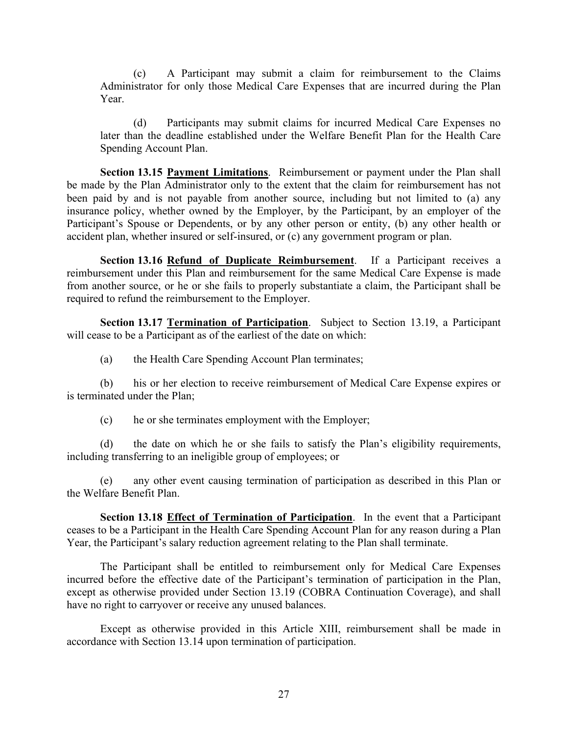(c) A Participant may submit a claim for reimbursement to the Claims (c) A Participant may submit a claim for reimbursement to the Claims<br>Administrator for only those Medical Care Expenses that are incurred during the Plan<br>Year.<br>(d) Participants may submit claims for incurred Medical Care E Year.

(d) Participants may submit claims for incurred Medical Care Expenses no later than the deadline established under the Welfare Benefit Plan for the Health Care Spending Account Plan.

Section 13.15 Payment Limitations. Reimbursement or payment under the Plan shall (c) A Participant may submit a claim for reimbursement to the Claims<br>
Administrator for only those Medical Care Expenses that are incurred during the Plan<br>
Year.<br>
(d) Participants may submit claims for incurred Medical Ca been paid by and is not payable from another source, including but not limited to (a) any insurance policy, whether owned by the Employer, by the Participant, by an employer of the Participant's Spouse or Dependents, or by any other person or entity, (b) any other health or accident plan, whether insured or self-insured, or (c) any government program or plan.

Section 13.16 Refund of Duplicate Reimbursement. If a Participant receives a reimbursement under this Plan and reimbursement for the same Medical Care Expense is made from another source, or he or she fails to properly substantiate a claim, the Participant shall be required to refund the reimbursement to the Employer. Section 13.16 <u>Refund of Duplicate Reimbursement</u>. If a Participatin receives a<br>Secretion 13.16 <u>Refund of Duplicate Reimbursement</u> of the same Medical Care Expense is made<br>other source, or he or she fails to properly sub

Section 13.17 Termination of Participation. Subject to Section 13.19, a Participant will cease to be a Participant as of the earliest of the date on which:

(a) the Health Care Spending Account Plan terminates;

(b) his or her election to receive reimbursement of Medical Care Expense expires or is terminated under the Plan;

(c) he or she terminates employment with the Employer;

(d) the date on which he or she fails to satisfy the Plan's eligibility requirements, including transferring to an ineligible group of employees; or

the Welfare Benefit Plan.

Section 13.18 Effect of Termination of Participation. In the event that a Participant ceases to be a Participant in the Health Care Spending Account Plan for any reason during a Plan Year, the Participant's salary reduction agreement relating to the Plan shall terminate.

The Participant shall be entitled to reimbursement only for Medical Care Expenses incurred before the effective date of the Participant's termination of participation in the Plan, except as otherwise provided under Section 13.19 (COBRA Continuation Coverage), and shall have no right to carryover or receive any unused balances.

Except as otherwise provided in this Article XIII, reimbursement shall be made in accordance with Section 13.14 upon termination of participation.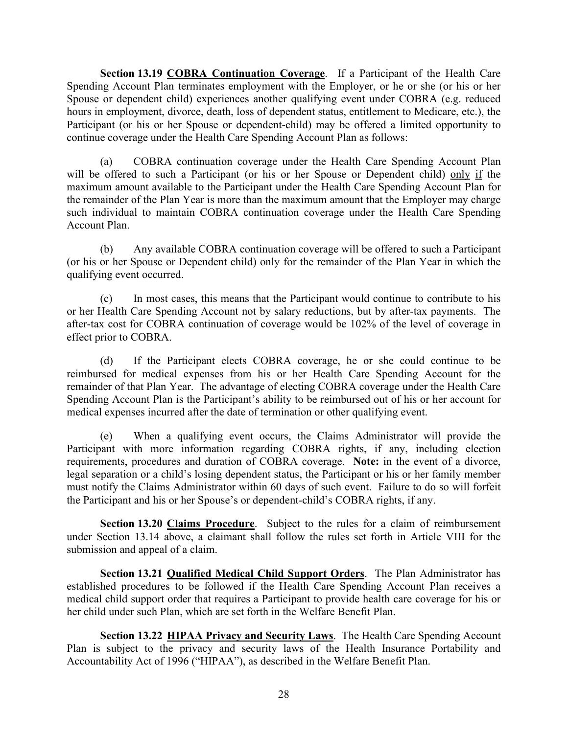Section 13.19 COBRA Continuation Coverage. If a Participant of the Health Care Spending Account Plan terminates employment with the Employer, or he or she (or his or her Spouse or dependent child) experiences another qualifying event under COBRA (e.g. reduced hours in employment, divorce, death, loss of dependent status, entitlement to Medicare, etc.), the Participant (or his or her Spouse or dependent-child) may be offered a limited opportunity to continue coverage under the Health Care Spending Account Plan as follows:

(a) COBRA continuation coverage under the Health Care Spending Account Plan **Section 13.19 COBRA Continuation Coverage**. If a Participant of the Health Care Spending Account Plan terminates employment with the Employer, or he or he (or his or her Spouse or dependent child) experiences another qual maximum amount available to the Participant under the Health Care Spending Account Plan for the remainder of the Plan Year is more than the maximum amount that the Employer may charge such individual to maintain COBRA continuation coverage under the Health Care Spending Account Plan.

(b) Any available COBRA continuation coverage will be offered to such a Participant (or his or her Spouse or Dependent child) only for the remainder of the Plan Year in which the qualifying event occurred.

(c) In most cases, this means that the Participant would continue to contribute to his or her Health Care Spending Account not by salary reductions, but by after-tax payments. The after-tax cost for COBRA continuation of coverage would be 102% of the level of coverage in effect prior to COBRA.

(d) If the Participant elects COBRA coverage, he or she could continue to be reimbursed for medical expenses from his or her Health Care Spending Account for the remainder of that Plan Year. The advantage of electing COBRA coverage under the Health Care Spending Account Plan is the Participant's ability to be reimbursed out of his or her account for medical expenses incurred after the date of termination or other qualifying event.

(e) When a qualifying event occurs, the Claims Administrator will provide the Participant with more information regarding COBRA rights, if any, including election requirements, procedures and duration of COBRA coverage. Note: in the event of a divorce, legal separation or a child's losing dependent status, the Participant or his or her family member must notify the Claims Administrator within 60 days of such event. Failure to do so will forfeit the Participant and his or her Spouse's or dependent-child's COBRA rights, if any.

Section 13.20 Claims Procedure. Subject to the rules for a claim of reimbursement under Section 13.14 above, a claimant shall follow the rules set forth in Article VIII for the submission and appeal of a claim.

Section 13.21 Qualified Medical Child Support Orders. The Plan Administrator has established procedures to be followed if the Health Care Spending Account Plan receives a medical child support order that requires a Participant to provide health care coverage for his or her child under such Plan, which are set forth in the Welfare Benefit Plan.

Section 13.22 HIPAA Privacy and Security Laws. The Health Care Spending Account Plan is subject to the privacy and security laws of the Health Insurance Portability and Accountability Act of 1996 ("HIPAA"), as described in the Welfare Benefit Plan.